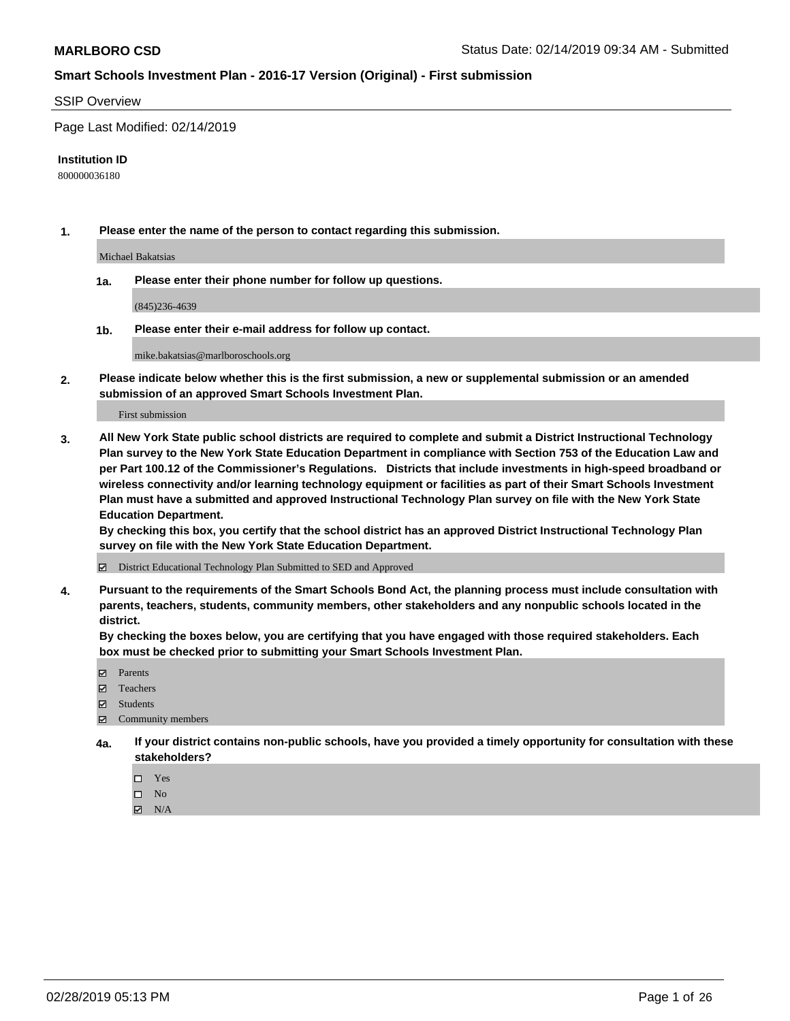#### SSIP Overview

Page Last Modified: 02/14/2019

#### **Institution ID**

800000036180

**1. Please enter the name of the person to contact regarding this submission.**

Michael Bakatsias

**1a. Please enter their phone number for follow up questions.**

(845)236-4639

**1b. Please enter their e-mail address for follow up contact.**

mike.bakatsias@marlboroschools.org

**2. Please indicate below whether this is the first submission, a new or supplemental submission or an amended submission of an approved Smart Schools Investment Plan.**

First submission

**3. All New York State public school districts are required to complete and submit a District Instructional Technology Plan survey to the New York State Education Department in compliance with Section 753 of the Education Law and per Part 100.12 of the Commissioner's Regulations. Districts that include investments in high-speed broadband or wireless connectivity and/or learning technology equipment or facilities as part of their Smart Schools Investment Plan must have a submitted and approved Instructional Technology Plan survey on file with the New York State Education Department.** 

**By checking this box, you certify that the school district has an approved District Instructional Technology Plan survey on file with the New York State Education Department.**

District Educational Technology Plan Submitted to SED and Approved

**4. Pursuant to the requirements of the Smart Schools Bond Act, the planning process must include consultation with parents, teachers, students, community members, other stakeholders and any nonpublic schools located in the district.** 

**By checking the boxes below, you are certifying that you have engaged with those required stakeholders. Each box must be checked prior to submitting your Smart Schools Investment Plan.**

- **□** Parents
- Teachers
- Students
- $\boxtimes$  Community members
- **4a. If your district contains non-public schools, have you provided a timely opportunity for consultation with these stakeholders?**
	- $\Box$  Yes
	- $\qquad \qquad$  No
	- $\blacksquare$  N/A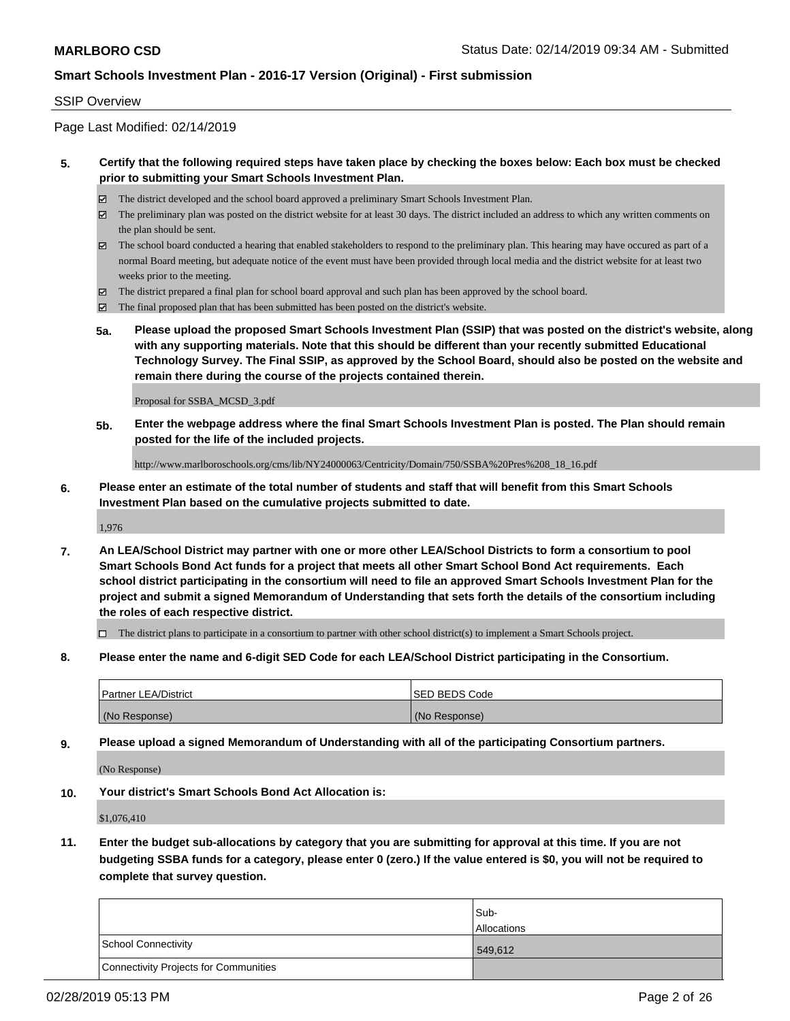#### SSIP Overview

Page Last Modified: 02/14/2019

#### **5. Certify that the following required steps have taken place by checking the boxes below: Each box must be checked prior to submitting your Smart Schools Investment Plan.**

- The district developed and the school board approved a preliminary Smart Schools Investment Plan.
- The preliminary plan was posted on the district website for at least 30 days. The district included an address to which any written comments on the plan should be sent.
- $\boxtimes$  The school board conducted a hearing that enabled stakeholders to respond to the preliminary plan. This hearing may have occured as part of a normal Board meeting, but adequate notice of the event must have been provided through local media and the district website for at least two weeks prior to the meeting.
- The district prepared a final plan for school board approval and such plan has been approved by the school board.
- $\boxtimes$  The final proposed plan that has been submitted has been posted on the district's website.
- **5a. Please upload the proposed Smart Schools Investment Plan (SSIP) that was posted on the district's website, along with any supporting materials. Note that this should be different than your recently submitted Educational Technology Survey. The Final SSIP, as approved by the School Board, should also be posted on the website and remain there during the course of the projects contained therein.**

Proposal for SSBA\_MCSD\_3.pdf

**5b. Enter the webpage address where the final Smart Schools Investment Plan is posted. The Plan should remain posted for the life of the included projects.**

http://www.marlboroschools.org/cms/lib/NY24000063/Centricity/Domain/750/SSBA%20Pres%208\_18\_16.pdf

**6. Please enter an estimate of the total number of students and staff that will benefit from this Smart Schools Investment Plan based on the cumulative projects submitted to date.**

1,976

**7. An LEA/School District may partner with one or more other LEA/School Districts to form a consortium to pool Smart Schools Bond Act funds for a project that meets all other Smart School Bond Act requirements. Each school district participating in the consortium will need to file an approved Smart Schools Investment Plan for the project and submit a signed Memorandum of Understanding that sets forth the details of the consortium including the roles of each respective district.**

 $\Box$  The district plans to participate in a consortium to partner with other school district(s) to implement a Smart Schools project.

**8. Please enter the name and 6-digit SED Code for each LEA/School District participating in the Consortium.**

| <b>Partner LEA/District</b> | <b>ISED BEDS Code</b> |
|-----------------------------|-----------------------|
| (No Response)               | (No Response)         |

**9. Please upload a signed Memorandum of Understanding with all of the participating Consortium partners.**

(No Response)

**10. Your district's Smart Schools Bond Act Allocation is:**

\$1,076,410

**11. Enter the budget sub-allocations by category that you are submitting for approval at this time. If you are not budgeting SSBA funds for a category, please enter 0 (zero.) If the value entered is \$0, you will not be required to complete that survey question.**

|                                              | Sub-<br><b>Allocations</b> |
|----------------------------------------------|----------------------------|
| <b>School Connectivity</b>                   | 549,612                    |
| <b>Connectivity Projects for Communities</b> |                            |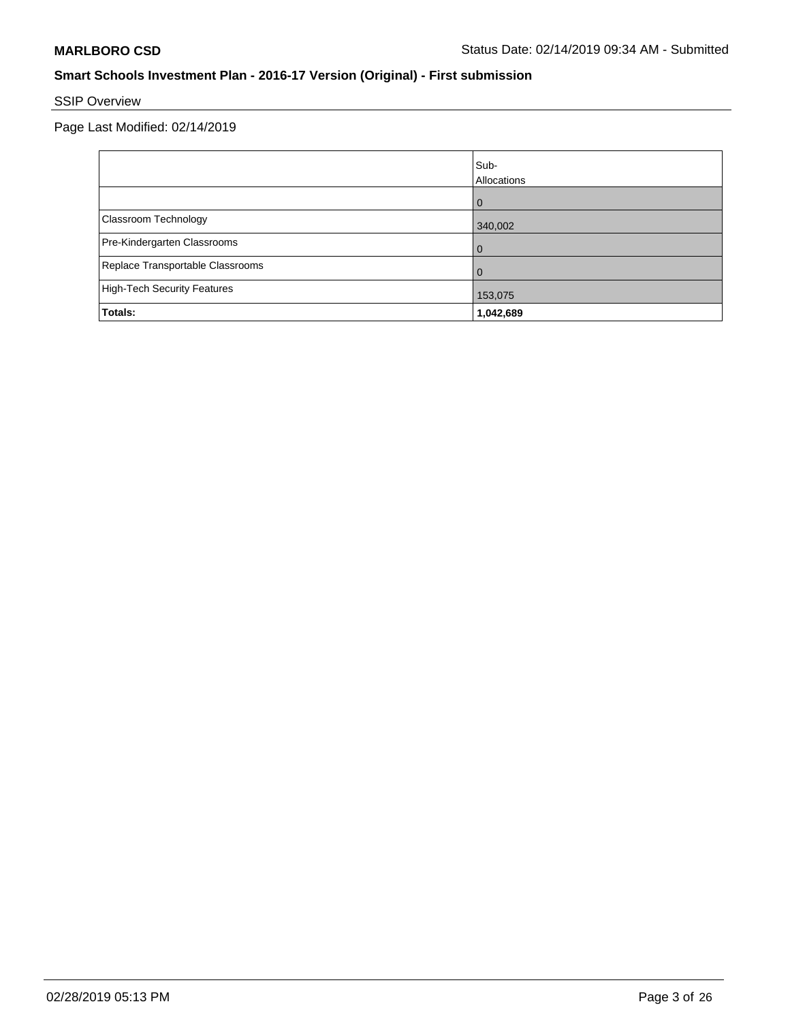# SSIP Overview

|                                  | Sub-<br>Allocations |
|----------------------------------|---------------------|
|                                  | $\Omega$            |
| Classroom Technology             | 340,002             |
| Pre-Kindergarten Classrooms      | $\Omega$            |
| Replace Transportable Classrooms | $\Omega$            |
| High-Tech Security Features      | 153,075             |
| Totals:                          | 1,042,689           |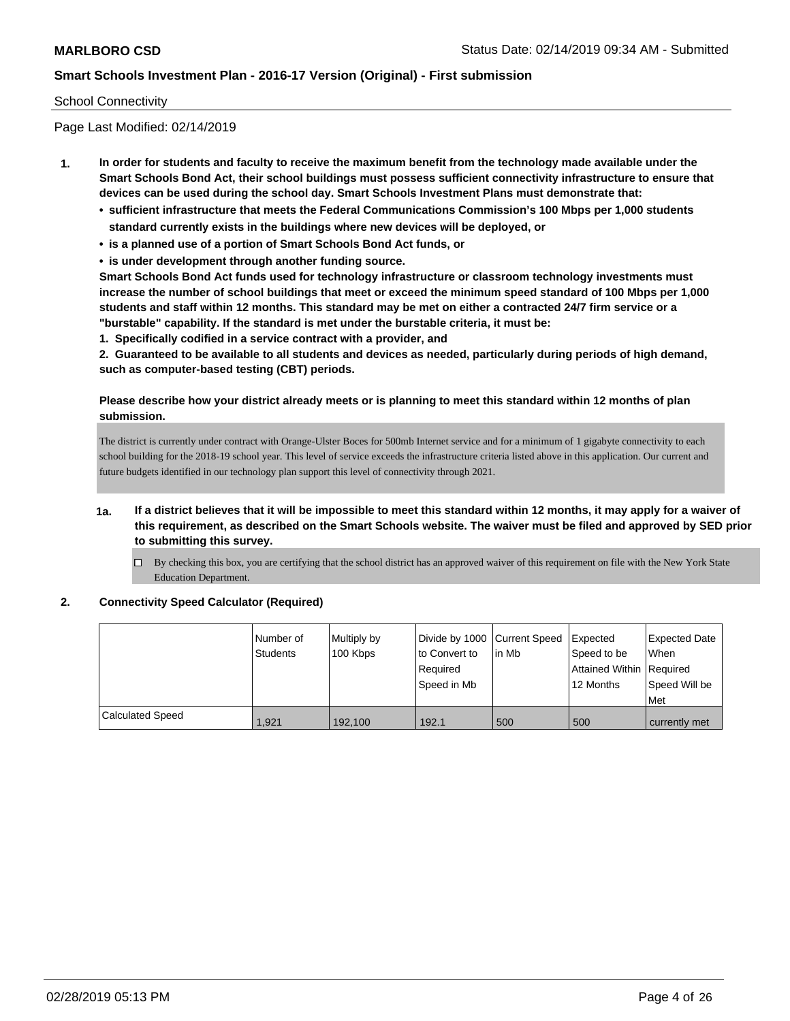#### School Connectivity

Page Last Modified: 02/14/2019

- **1. In order for students and faculty to receive the maximum benefit from the technology made available under the Smart Schools Bond Act, their school buildings must possess sufficient connectivity infrastructure to ensure that devices can be used during the school day. Smart Schools Investment Plans must demonstrate that:**
	- **• sufficient infrastructure that meets the Federal Communications Commission's 100 Mbps per 1,000 students standard currently exists in the buildings where new devices will be deployed, or**
	- **• is a planned use of a portion of Smart Schools Bond Act funds, or**
	- **• is under development through another funding source.**

**Smart Schools Bond Act funds used for technology infrastructure or classroom technology investments must increase the number of school buildings that meet or exceed the minimum speed standard of 100 Mbps per 1,000 students and staff within 12 months. This standard may be met on either a contracted 24/7 firm service or a "burstable" capability. If the standard is met under the burstable criteria, it must be:**

**1. Specifically codified in a service contract with a provider, and**

**2. Guaranteed to be available to all students and devices as needed, particularly during periods of high demand, such as computer-based testing (CBT) periods.**

### **Please describe how your district already meets or is planning to meet this standard within 12 months of plan submission.**

The district is currently under contract with Orange-Ulster Boces for 500mb Internet service and for a minimum of 1 gigabyte connectivity to each school building for the 2018-19 school year. This level of service exceeds the infrastructure criteria listed above in this application. Our current and future budgets identified in our technology plan support this level of connectivity through 2021.

- **1a. If a district believes that it will be impossible to meet this standard within 12 months, it may apply for a waiver of this requirement, as described on the Smart Schools website. The waiver must be filed and approved by SED prior to submitting this survey.**
	- $\Box$  By checking this box, you are certifying that the school district has an approved waiver of this requirement on file with the New York State Education Department.

#### **2. Connectivity Speed Calculator (Required)**

|                         | I Number of<br>Students | Multiply by<br>100 Kbps | Divide by 1000 Current Speed<br>to Convert to<br>Required<br>Speed in Mb | in Mb | <b>Expected</b><br>Speed to be<br><b>Attained Within Required</b><br>12 Months | <b>Expected Date</b><br><b>When</b><br>Speed Will be<br>l Met |
|-------------------------|-------------------------|-------------------------|--------------------------------------------------------------------------|-------|--------------------------------------------------------------------------------|---------------------------------------------------------------|
| <b>Calculated Speed</b> | 1.921                   | 192.100                 | 192.1                                                                    | 500   | 500                                                                            | currently met                                                 |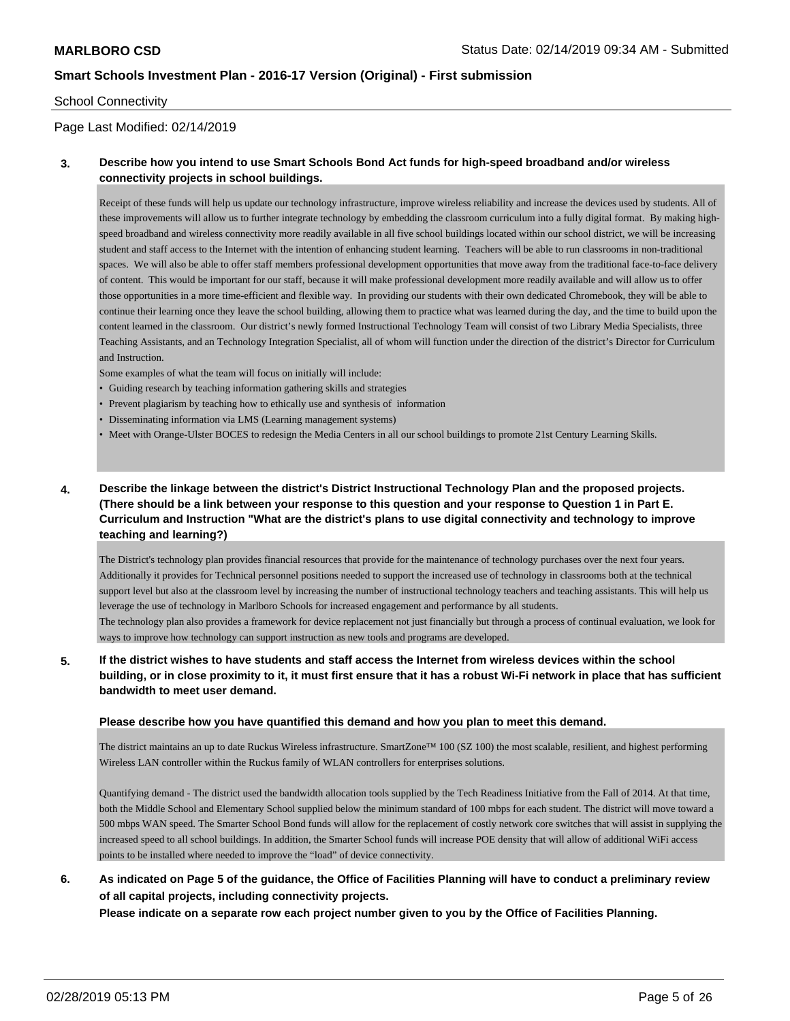#### School Connectivity

#### Page Last Modified: 02/14/2019

### **3. Describe how you intend to use Smart Schools Bond Act funds for high-speed broadband and/or wireless connectivity projects in school buildings.**

Receipt of these funds will help us update our technology infrastructure, improve wireless reliability and increase the devices used by students. All of these improvements will allow us to further integrate technology by embedding the classroom curriculum into a fully digital format. By making highspeed broadband and wireless connectivity more readily available in all five school buildings located within our school district, we will be increasing student and staff access to the Internet with the intention of enhancing student learning. Teachers will be able to run classrooms in non-traditional spaces. We will also be able to offer staff members professional development opportunities that move away from the traditional face-to-face delivery of content. This would be important for our staff, because it will make professional development more readily available and will allow us to offer those opportunities in a more time-efficient and flexible way. In providing our students with their own dedicated Chromebook, they will be able to continue their learning once they leave the school building, allowing them to practice what was learned during the day, and the time to build upon the content learned in the classroom. Our district's newly formed Instructional Technology Team will consist of two Library Media Specialists, three Teaching Assistants, and an Technology Integration Specialist, all of whom will function under the direction of the district's Director for Curriculum and Instruction.

Some examples of what the team will focus on initially will include:

- Guiding research by teaching information gathering skills and strategies
- Prevent plagiarism by teaching how to ethically use and synthesis of information
- Disseminating information via LMS (Learning management systems)
- Meet with Orange-Ulster BOCES to redesign the Media Centers in all our school buildings to promote 21st Century Learning Skills.

### **4. Describe the linkage between the district's District Instructional Technology Plan and the proposed projects. (There should be a link between your response to this question and your response to Question 1 in Part E. Curriculum and Instruction "What are the district's plans to use digital connectivity and technology to improve teaching and learning?)**

The District's technology plan provides financial resources that provide for the maintenance of technology purchases over the next four years. Additionally it provides for Technical personnel positions needed to support the increased use of technology in classrooms both at the technical support level but also at the classroom level by increasing the number of instructional technology teachers and teaching assistants. This will help us leverage the use of technology in Marlboro Schools for increased engagement and performance by all students.

The technology plan also provides a framework for device replacement not just financially but through a process of continual evaluation, we look for ways to improve how technology can support instruction as new tools and programs are developed.

### **5. If the district wishes to have students and staff access the Internet from wireless devices within the school building, or in close proximity to it, it must first ensure that it has a robust Wi-Fi network in place that has sufficient bandwidth to meet user demand.**

#### **Please describe how you have quantified this demand and how you plan to meet this demand.**

The district maintains an up to date Ruckus Wireless infrastructure. SmartZone™ 100 (SZ 100) the most scalable, resilient, and highest performing Wireless LAN controller within the Ruckus family of WLAN controllers for enterprises solutions.

Quantifying demand - The district used the bandwidth allocation tools supplied by the Tech Readiness Initiative from the Fall of 2014. At that time, both the Middle School and Elementary School supplied below the minimum standard of 100 mbps for each student. The district will move toward a 500 mbps WAN speed. The Smarter School Bond funds will allow for the replacement of costly network core switches that will assist in supplying the increased speed to all school buildings. In addition, the Smarter School funds will increase POE density that will allow of additional WiFi access points to be installed where needed to improve the "load" of device connectivity.

### **6. As indicated on Page 5 of the guidance, the Office of Facilities Planning will have to conduct a preliminary review of all capital projects, including connectivity projects.**

**Please indicate on a separate row each project number given to you by the Office of Facilities Planning.**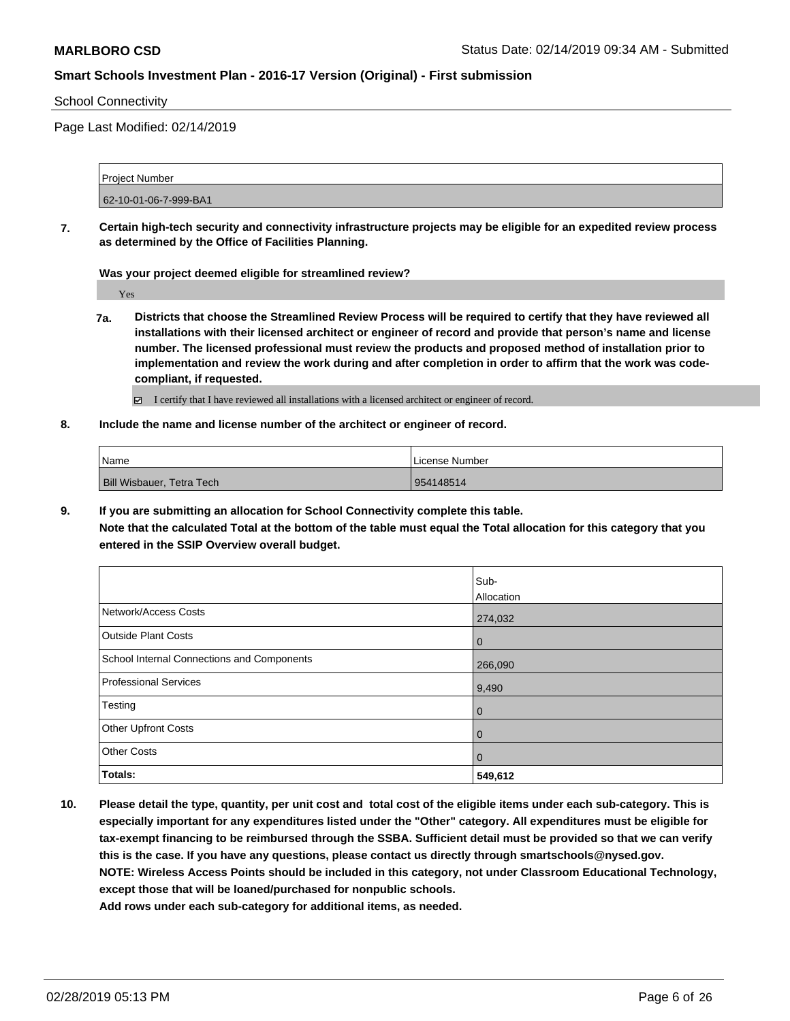#### School Connectivity

Page Last Modified: 02/14/2019

Project Number 62-10-01-06-7-999-BA1

**7. Certain high-tech security and connectivity infrastructure projects may be eligible for an expedited review process as determined by the Office of Facilities Planning.**

**Was your project deemed eligible for streamlined review?**

Yes

- **7a. Districts that choose the Streamlined Review Process will be required to certify that they have reviewed all installations with their licensed architect or engineer of record and provide that person's name and license number. The licensed professional must review the products and proposed method of installation prior to implementation and review the work during and after completion in order to affirm that the work was codecompliant, if requested.**
	- I certify that I have reviewed all installations with a licensed architect or engineer of record.
- **8. Include the name and license number of the architect or engineer of record.**

| <sup>1</sup> Name                | License Number |
|----------------------------------|----------------|
| <b>Bill Wisbauer, Tetra Tech</b> | 954148514      |

**9. If you are submitting an allocation for School Connectivity complete this table.**

**Note that the calculated Total at the bottom of the table must equal the Total allocation for this category that you entered in the SSIP Overview overall budget.** 

|                                            | Sub-           |
|--------------------------------------------|----------------|
|                                            | Allocation     |
| Network/Access Costs                       | 274,032        |
| <b>Outside Plant Costs</b>                 | $\mathbf 0$    |
| School Internal Connections and Components | 266,090        |
| <b>Professional Services</b>               | 9,490          |
| Testing                                    | $\mathbf 0$    |
| Other Upfront Costs                        | $\overline{0}$ |
| <b>Other Costs</b>                         | $\overline{0}$ |
| Totals:                                    | 549,612        |

**10. Please detail the type, quantity, per unit cost and total cost of the eligible items under each sub-category. This is especially important for any expenditures listed under the "Other" category. All expenditures must be eligible for tax-exempt financing to be reimbursed through the SSBA. Sufficient detail must be provided so that we can verify this is the case. If you have any questions, please contact us directly through smartschools@nysed.gov. NOTE: Wireless Access Points should be included in this category, not under Classroom Educational Technology, except those that will be loaned/purchased for nonpublic schools.**

**Add rows under each sub-category for additional items, as needed.**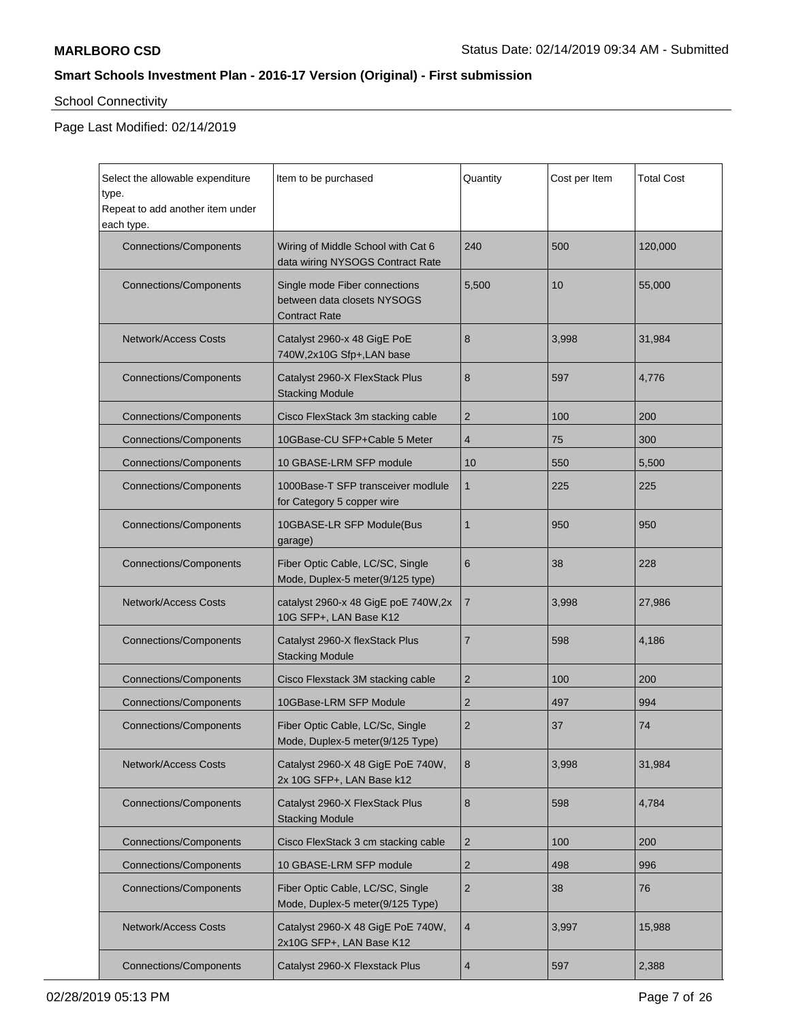# School Connectivity

 $\mathbf{r}$ 

| Select the allowable expenditure<br>type.<br>Repeat to add another item under<br>each type. | Item to be purchased                                                                 | Quantity       | Cost per Item | <b>Total Cost</b> |
|---------------------------------------------------------------------------------------------|--------------------------------------------------------------------------------------|----------------|---------------|-------------------|
| <b>Connections/Components</b>                                                               | Wiring of Middle School with Cat 6<br>data wiring NYSOGS Contract Rate               | 240            | 500           | 120,000           |
| <b>Connections/Components</b>                                                               | Single mode Fiber connections<br>between data closets NYSOGS<br><b>Contract Rate</b> | 5,500          | 10            | 55,000            |
| <b>Network/Access Costs</b>                                                                 | Catalyst 2960-x 48 GigE PoE<br>740W,2x10G Sfp+,LAN base                              | 8              | 3,998         | 31,984            |
| <b>Connections/Components</b>                                                               | Catalyst 2960-X FlexStack Plus<br><b>Stacking Module</b>                             | 8              | 597           | 4,776             |
| <b>Connections/Components</b>                                                               | Cisco FlexStack 3m stacking cable                                                    | $\overline{2}$ | 100           | 200               |
| <b>Connections/Components</b>                                                               | 10GBase-CU SFP+Cable 5 Meter                                                         | 4              | 75            | 300               |
| <b>Connections/Components</b>                                                               | 10 GBASE-LRM SFP module                                                              | 10             | 550           | 5,500             |
| <b>Connections/Components</b>                                                               | 1000Base-T SFP transceiver modlule<br>for Category 5 copper wire                     | 1              | 225           | 225               |
| <b>Connections/Components</b>                                                               | 10GBASE-LR SFP Module(Bus<br>garage)                                                 | 1              | 950           | 950               |
| <b>Connections/Components</b>                                                               | Fiber Optic Cable, LC/SC, Single<br>Mode, Duplex-5 meter(9/125 type)                 | 6              | 38            | 228               |
| <b>Network/Access Costs</b>                                                                 | catalyst 2960-x 48 GigE poE 740W,2x<br>10G SFP+, LAN Base K12                        | $\overline{7}$ | 3,998         | 27,986            |
| <b>Connections/Components</b>                                                               | Catalyst 2960-X flexStack Plus<br><b>Stacking Module</b>                             | $\overline{7}$ | 598           | 4,186             |
| <b>Connections/Components</b>                                                               | Cisco Flexstack 3M stacking cable                                                    | $\overline{2}$ | 100           | 200               |
| <b>Connections/Components</b>                                                               | 10GBase-LRM SFP Module                                                               | 2              | 497           | 994               |
| <b>Connections/Components</b>                                                               | Fiber Optic Cable, LC/Sc, Single<br>Mode, Duplex-5 meter(9/125 Type)                 | $\overline{2}$ | 37            | 74                |
| Network/Access Costs                                                                        | Catalyst 2960-X 48 GigE PoE 740W,<br>2x 10G SFP+, LAN Base k12                       | 8              | 3,998         | 31,984            |
| <b>Connections/Components</b>                                                               | Catalyst 2960-X FlexStack Plus<br><b>Stacking Module</b>                             | 8              | 598           | 4,784             |
| <b>Connections/Components</b>                                                               | Cisco FlexStack 3 cm stacking cable                                                  | $\overline{2}$ | 100           | 200               |
| <b>Connections/Components</b>                                                               | 10 GBASE-LRM SFP module                                                              | $\sqrt{2}$     | 498           | 996               |
| <b>Connections/Components</b>                                                               | Fiber Optic Cable, LC/SC, Single<br>Mode, Duplex-5 meter(9/125 Type)                 | $\sqrt{2}$     | 38            | 76                |
| <b>Network/Access Costs</b>                                                                 | Catalyst 2960-X 48 GigE PoE 740W,<br>2x10G SFP+, LAN Base K12                        | $\overline{4}$ | 3,997         | 15,988            |
| <b>Connections/Components</b>                                                               | Catalyst 2960-X Flexstack Plus                                                       | $\overline{4}$ | 597           | 2,388             |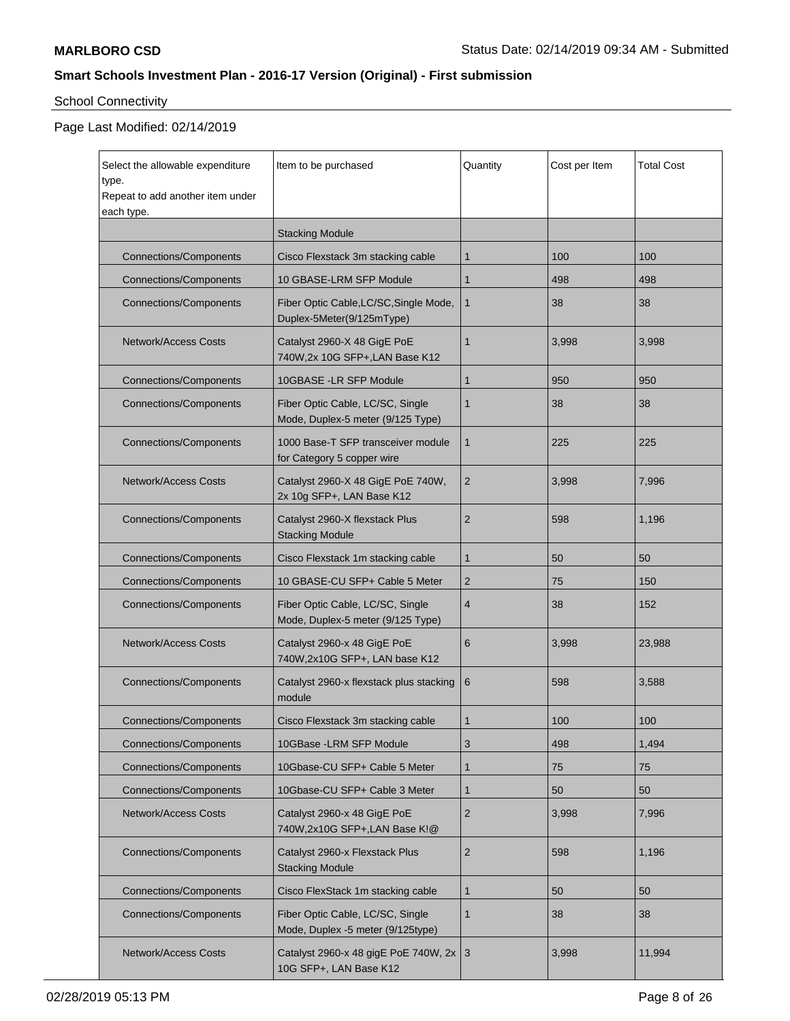# School Connectivity

| Select the allowable expenditure<br>type.<br>Repeat to add another item under<br>each type. | Item to be purchased                                                  | Quantity       | Cost per Item | <b>Total Cost</b> |
|---------------------------------------------------------------------------------------------|-----------------------------------------------------------------------|----------------|---------------|-------------------|
|                                                                                             | <b>Stacking Module</b>                                                |                |               |                   |
| <b>Connections/Components</b>                                                               | Cisco Flexstack 3m stacking cable                                     | 1              | 100           | 100               |
| <b>Connections/Components</b>                                                               | 10 GBASE-LRM SFP Module                                               | $\mathbf{1}$   | 498           | 498               |
| <b>Connections/Components</b>                                                               | Fiber Optic Cable, LC/SC, Single Mode,<br>Duplex-5Meter(9/125mType)   | $\mathbf{1}$   | 38            | 38                |
| <b>Network/Access Costs</b>                                                                 | Catalyst 2960-X 48 GigE PoE<br>740W,2x 10G SFP+,LAN Base K12          | 1              | 3,998         | 3,998             |
| <b>Connections/Components</b>                                                               | 10GBASE - LR SFP Module                                               | 1              | 950           | 950               |
| <b>Connections/Components</b>                                                               | Fiber Optic Cable, LC/SC, Single<br>Mode, Duplex-5 meter (9/125 Type) | 1              | 38            | 38                |
| <b>Connections/Components</b>                                                               | 1000 Base-T SFP transceiver module<br>for Category 5 copper wire      | 1              | 225           | 225               |
| <b>Network/Access Costs</b>                                                                 | Catalyst 2960-X 48 GigE PoE 740W,<br>2x 10g SFP+, LAN Base K12        | 2              | 3,998         | 7,996             |
| <b>Connections/Components</b>                                                               | Catalyst 2960-X flexstack Plus<br><b>Stacking Module</b>              | $\overline{2}$ | 598           | 1,196             |
| <b>Connections/Components</b>                                                               | Cisco Flexstack 1m stacking cable                                     | 1              | 50            | 50                |
| <b>Connections/Components</b>                                                               | 10 GBASE-CU SFP+ Cable 5 Meter                                        | 2              | 75            | 150               |
| <b>Connections/Components</b>                                                               | Fiber Optic Cable, LC/SC, Single<br>Mode, Duplex-5 meter (9/125 Type) | $\overline{4}$ | 38            | 152               |
| <b>Network/Access Costs</b>                                                                 | Catalyst 2960-x 48 GigE PoE<br>740W,2x10G SFP+, LAN base K12          | 6              | 3,998         | 23,988            |
| <b>Connections/Components</b>                                                               | Catalyst 2960-x flexstack plus stacking<br>module                     | 6              | 598           | 3,588             |
| <b>Connections/Components</b>                                                               | Cisco Flexstack 3m stacking cable                                     | 1              | 100           | 100               |
| <b>Connections/Components</b>                                                               | 10GBase - LRM SFP Module                                              | 3              | 498           | 1,494             |
| <b>Connections/Components</b>                                                               | 10Gbase-CU SFP+ Cable 5 Meter                                         | 1              | 75            | 75                |
| <b>Connections/Components</b>                                                               | 10Gbase-CU SFP+ Cable 3 Meter                                         | 1              | 50            | 50                |
| Network/Access Costs                                                                        | Catalyst 2960-x 48 GigE PoE<br>740W,2x10G SFP+,LAN Base K!@           | $\overline{2}$ | 3,998         | 7,996             |
| <b>Connections/Components</b>                                                               | Catalyst 2960-x Flexstack Plus<br><b>Stacking Module</b>              | $\overline{2}$ | 598           | 1,196             |
| <b>Connections/Components</b>                                                               | Cisco FlexStack 1m stacking cable                                     | $\mathbf{1}$   | 50            | 50                |
| <b>Connections/Components</b>                                                               | Fiber Optic Cable, LC/SC, Single<br>Mode, Duplex -5 meter (9/125type) | 1              | 38            | 38                |
| <b>Network/Access Costs</b>                                                                 | Catalyst 2960-x 48 gigE PoE 740W, 2x 3<br>10G SFP+, LAN Base K12      |                | 3,998         | 11,994            |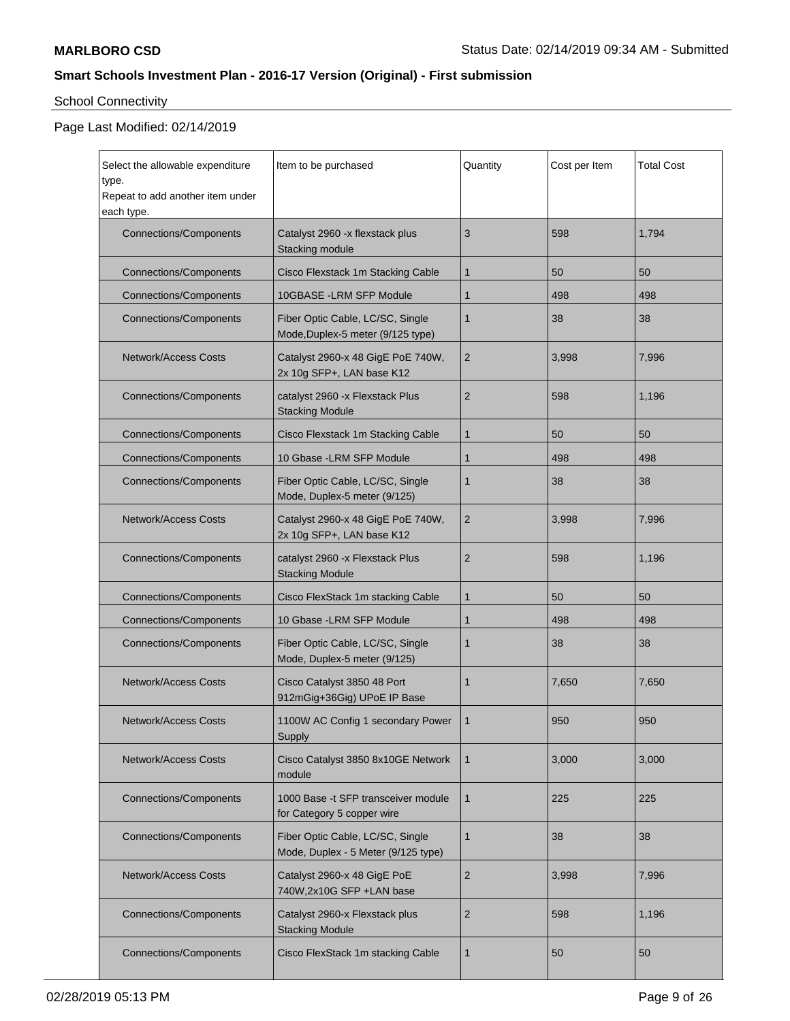# School Connectivity

| Select the allowable expenditure<br>type.<br>Repeat to add another item under | Item to be purchased                                                    | Quantity       | Cost per Item | <b>Total Cost</b> |
|-------------------------------------------------------------------------------|-------------------------------------------------------------------------|----------------|---------------|-------------------|
| each type.                                                                    |                                                                         |                |               |                   |
| <b>Connections/Components</b>                                                 | Catalyst 2960 -x flexstack plus<br>Stacking module                      | 3              | 598           | 1,794             |
| <b>Connections/Components</b>                                                 | Cisco Flexstack 1m Stacking Cable                                       | 1              | 50            | 50                |
| <b>Connections/Components</b>                                                 | 10GBASE -LRM SFP Module                                                 | 1              | 498           | 498               |
| <b>Connections/Components</b>                                                 | Fiber Optic Cable, LC/SC, Single<br>Mode, Duplex-5 meter (9/125 type)   | 1              | 38            | 38                |
| <b>Network/Access Costs</b>                                                   | Catalyst 2960-x 48 GigE PoE 740W,<br>2x 10g SFP+, LAN base K12          | 2              | 3,998         | 7,996             |
| <b>Connections/Components</b>                                                 | catalyst 2960 - x Flexstack Plus<br><b>Stacking Module</b>              | $\overline{2}$ | 598           | 1,196             |
| <b>Connections/Components</b>                                                 | Cisco Flexstack 1m Stacking Cable                                       | 1              | 50            | 50                |
| <b>Connections/Components</b>                                                 | 10 Gbase - LRM SFP Module                                               | 1              | 498           | 498               |
| <b>Connections/Components</b>                                                 | Fiber Optic Cable, LC/SC, Single<br>Mode, Duplex-5 meter (9/125)        | 1              | 38            | 38                |
| <b>Network/Access Costs</b>                                                   | Catalyst 2960-x 48 GigE PoE 740W,<br>2x 10g SFP+, LAN base K12          | 2              | 3,998         | 7,996             |
| <b>Connections/Components</b>                                                 | catalyst 2960 - x Flexstack Plus<br><b>Stacking Module</b>              | 2              | 598           | 1,196             |
| <b>Connections/Components</b>                                                 | Cisco FlexStack 1m stacking Cable                                       | 1              | 50            | 50                |
| <b>Connections/Components</b>                                                 | 10 Gbase - LRM SFP Module                                               | 1              | 498           | 498               |
| <b>Connections/Components</b>                                                 | Fiber Optic Cable, LC/SC, Single<br>Mode, Duplex-5 meter (9/125)        | 1              | 38            | 38                |
| <b>Network/Access Costs</b>                                                   | Cisco Catalyst 3850 48 Port<br>912mGig+36Gig) UPoE IP Base              | 1              | 7,650         | 7.650             |
| Network/Access Costs                                                          | 1100W AC Config 1 secondary Power<br>Supply                             | 1              | 950           | 950               |
| <b>Network/Access Costs</b>                                                   | Cisco Catalyst 3850 8x10GE Network<br>module                            | 1              | 3.000         | 3,000             |
| <b>Connections/Components</b>                                                 | 1000 Base -t SFP transceiver module<br>for Category 5 copper wire       | $\mathbf{1}$   | 225           | 225               |
| <b>Connections/Components</b>                                                 | Fiber Optic Cable, LC/SC, Single<br>Mode, Duplex - 5 Meter (9/125 type) | 1              | 38            | 38                |
| Network/Access Costs                                                          | Catalyst 2960-x 48 GigE PoE<br>740W,2x10G SFP +LAN base                 | $\overline{2}$ | 3,998         | 7,996             |
| <b>Connections/Components</b>                                                 | Catalyst 2960-x Flexstack plus<br><b>Stacking Module</b>                | 2              | 598           | 1,196             |
| <b>Connections/Components</b>                                                 | Cisco FlexStack 1m stacking Cable                                       | 1              | 50            | 50                |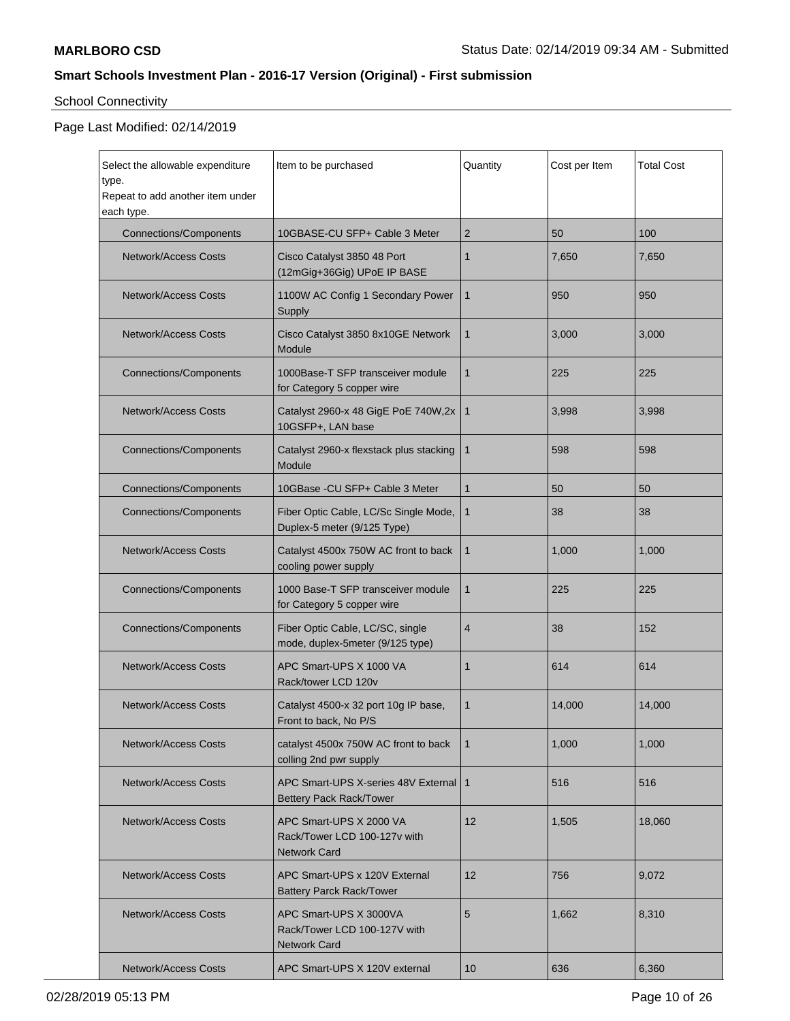# School Connectivity

| Select the allowable expenditure<br>type.<br>Repeat to add another item under<br>each type. | Item to be purchased                                                           | Quantity       | Cost per Item | <b>Total Cost</b> |
|---------------------------------------------------------------------------------------------|--------------------------------------------------------------------------------|----------------|---------------|-------------------|
| <b>Connections/Components</b>                                                               | 10GBASE-CU SFP+ Cable 3 Meter                                                  | 2              | 50            | 100               |
| <b>Network/Access Costs</b>                                                                 | Cisco Catalyst 3850 48 Port<br>(12mGig+36Gig) UPoE IP BASE                     | 1              | 7,650         | 7,650             |
| <b>Network/Access Costs</b>                                                                 | 1100W AC Config 1 Secondary Power<br>Supply                                    | $\mathbf{1}$   | 950           | 950               |
| <b>Network/Access Costs</b>                                                                 | Cisco Catalyst 3850 8x10GE Network<br>Module                                   | $\mathbf{1}$   | 3,000         | 3,000             |
| <b>Connections/Components</b>                                                               | 1000Base-T SFP transceiver module<br>for Category 5 copper wire                | $\mathbf{1}$   | 225           | 225               |
| <b>Network/Access Costs</b>                                                                 | Catalyst 2960-x 48 GigE PoE 740W,2x<br>10GSFP+, LAN base                       | $\mathbf{1}$   | 3,998         | 3,998             |
| <b>Connections/Components</b>                                                               | Catalyst 2960-x flexstack plus stacking<br>Module                              | $\mathbf{1}$   | 598           | 598               |
| <b>Connections/Components</b>                                                               | 10GBase - CU SFP+ Cable 3 Meter                                                | $\mathbf{1}$   | 50            | 50                |
| <b>Connections/Components</b>                                                               | Fiber Optic Cable, LC/Sc Single Mode,<br>Duplex-5 meter (9/125 Type)           | $\mathbf{1}$   | 38            | 38                |
| <b>Network/Access Costs</b>                                                                 | Catalyst 4500x 750W AC front to back<br>cooling power supply                   | $\mathbf{1}$   | 1,000         | 1,000             |
| <b>Connections/Components</b>                                                               | 1000 Base-T SFP transceiver module<br>for Category 5 copper wire               | 1              | 225           | 225               |
| <b>Connections/Components</b>                                                               | Fiber Optic Cable, LC/SC, single<br>mode, duplex-5meter (9/125 type)           | $\overline{4}$ | 38            | 152               |
| <b>Network/Access Costs</b>                                                                 | APC Smart-UPS X 1000 VA<br>Rack/tower LCD 120v                                 | 1              | 614           | 614               |
| <b>Network/Access Costs</b>                                                                 | Catalyst 4500-x 32 port 10g IP base,<br>Front to back, No P/S                  | 1              | 14,000        | 14,000            |
| <b>Network/Access Costs</b>                                                                 | catalyst 4500x 750W AC front to back<br>colling 2nd pwr supply                 | $\mathbf{1}$   | 1,000         | 1,000             |
| <b>Network/Access Costs</b>                                                                 | APC Smart-UPS X-series 48V External<br>Bettery Pack Rack/Tower                 | $\vert$ 1      | 516           | 516               |
| <b>Network/Access Costs</b>                                                                 | APC Smart-UPS X 2000 VA<br>Rack/Tower LCD 100-127v with<br><b>Network Card</b> | 12             | 1,505         | 18,060            |
| <b>Network/Access Costs</b>                                                                 | APC Smart-UPS x 120V External<br><b>Battery Parck Rack/Tower</b>               | 12             | 756           | 9.072             |
| <b>Network/Access Costs</b>                                                                 | APC Smart-UPS X 3000VA<br>Rack/Tower LCD 100-127V with<br><b>Network Card</b>  | 5              | 1,662         | 8,310             |
| <b>Network/Access Costs</b>                                                                 | APC Smart-UPS X 120V external                                                  | 10             | 636           | 6,360             |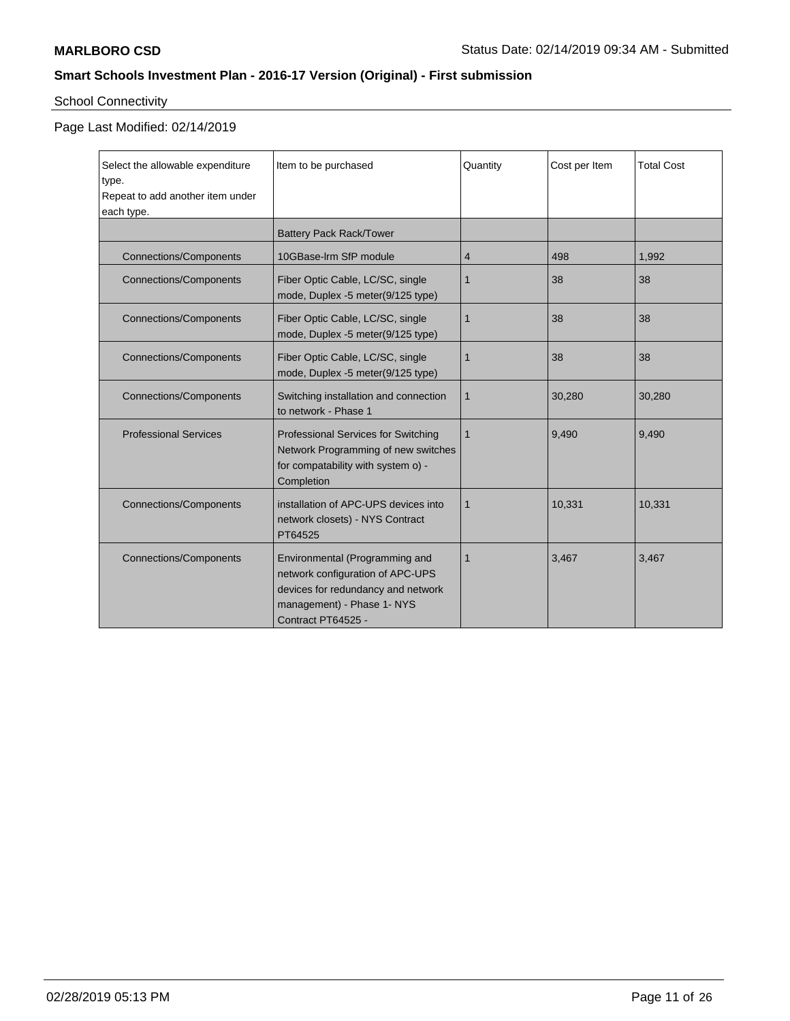# School Connectivity

| Select the allowable expenditure<br>type.<br>Repeat to add another item under<br>each type. | Item to be purchased                                                                                                                                         | Quantity | Cost per Item | <b>Total Cost</b> |
|---------------------------------------------------------------------------------------------|--------------------------------------------------------------------------------------------------------------------------------------------------------------|----------|---------------|-------------------|
|                                                                                             | <b>Battery Pack Rack/Tower</b>                                                                                                                               |          |               |                   |
| Connections/Components                                                                      | 10GBase-Irm SfP module                                                                                                                                       | 4        | 498           | 1,992             |
| <b>Connections/Components</b>                                                               | Fiber Optic Cable, LC/SC, single<br>mode, Duplex -5 meter(9/125 type)                                                                                        | 1        | 38            | 38                |
| <b>Connections/Components</b>                                                               | Fiber Optic Cable, LC/SC, single<br>mode, Duplex -5 meter(9/125 type)                                                                                        | 1        | 38            | 38                |
| <b>Connections/Components</b>                                                               | Fiber Optic Cable, LC/SC, single<br>mode, Duplex -5 meter(9/125 type)                                                                                        | 1        | 38            | 38                |
| <b>Connections/Components</b>                                                               | Switching installation and connection<br>to network - Phase 1                                                                                                | 1        | 30,280        | 30,280            |
| <b>Professional Services</b>                                                                | <b>Professional Services for Switching</b><br>Network Programming of new switches<br>for compatability with system o) -<br>Completion                        | 1        | 9,490         | 9,490             |
| <b>Connections/Components</b>                                                               | installation of APC-UPS devices into<br>network closets) - NYS Contract<br>PT64525                                                                           | 1        | 10,331        | 10,331            |
| <b>Connections/Components</b>                                                               | Environmental (Programming and<br>network configuration of APC-UPS<br>devices for redundancy and network<br>management) - Phase 1- NYS<br>Contract PT64525 - | 1        | 3.467         | 3.467             |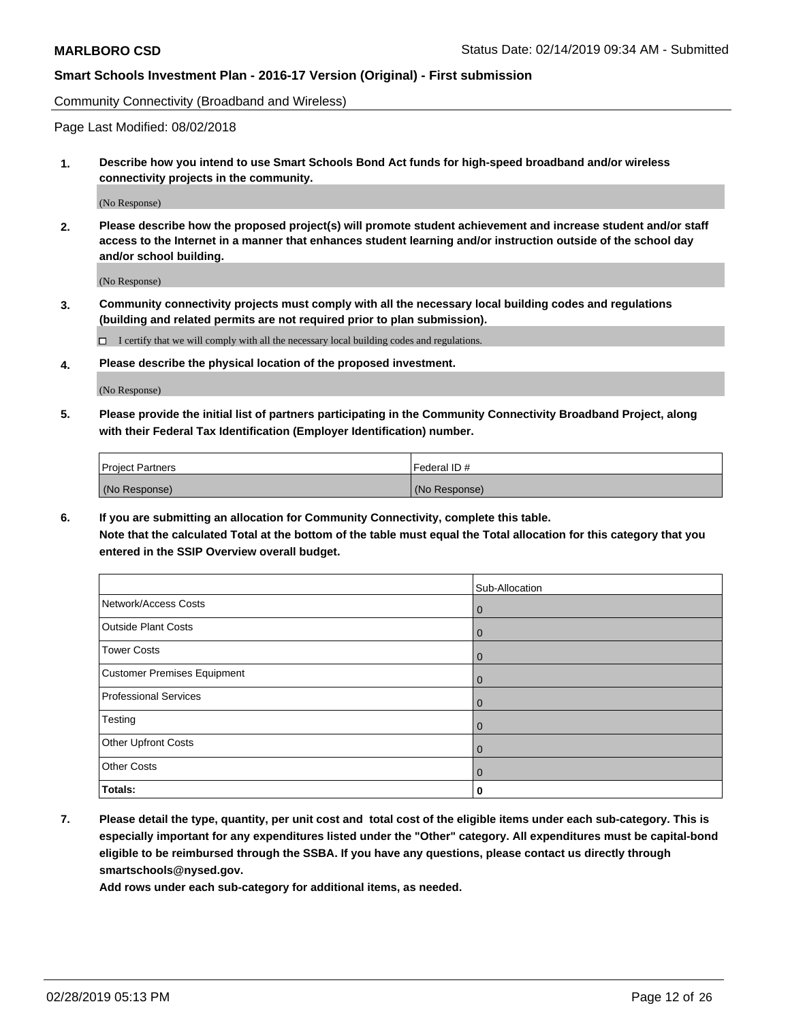Community Connectivity (Broadband and Wireless)

Page Last Modified: 08/02/2018

**1. Describe how you intend to use Smart Schools Bond Act funds for high-speed broadband and/or wireless connectivity projects in the community.**

(No Response)

**2. Please describe how the proposed project(s) will promote student achievement and increase student and/or staff access to the Internet in a manner that enhances student learning and/or instruction outside of the school day and/or school building.**

(No Response)

**3. Community connectivity projects must comply with all the necessary local building codes and regulations (building and related permits are not required prior to plan submission).**

 $\Box$  I certify that we will comply with all the necessary local building codes and regulations.

**4. Please describe the physical location of the proposed investment.**

(No Response)

**5. Please provide the initial list of partners participating in the Community Connectivity Broadband Project, along with their Federal Tax Identification (Employer Identification) number.**

| <b>Project Partners</b> | Federal ID#   |
|-------------------------|---------------|
| (No Response)           | (No Response) |

**6. If you are submitting an allocation for Community Connectivity, complete this table. Note that the calculated Total at the bottom of the table must equal the Total allocation for this category that you entered in the SSIP Overview overall budget.**

|                              | Sub-Allocation |
|------------------------------|----------------|
| Network/Access Costs         | $\mathbf 0$    |
| <b>Outside Plant Costs</b>   | $\mathbf 0$    |
| <b>Tower Costs</b>           | $\mathbf 0$    |
| Customer Premises Equipment  | $\mathbf 0$    |
| <b>Professional Services</b> | $\mathbf 0$    |
| Testing                      | $\mathbf 0$    |
| Other Upfront Costs          | $\mathbf 0$    |
| <b>Other Costs</b>           | $\mathbf 0$    |
| Totals:                      | 0              |

**7. Please detail the type, quantity, per unit cost and total cost of the eligible items under each sub-category. This is especially important for any expenditures listed under the "Other" category. All expenditures must be capital-bond eligible to be reimbursed through the SSBA. If you have any questions, please contact us directly through smartschools@nysed.gov.**

**Add rows under each sub-category for additional items, as needed.**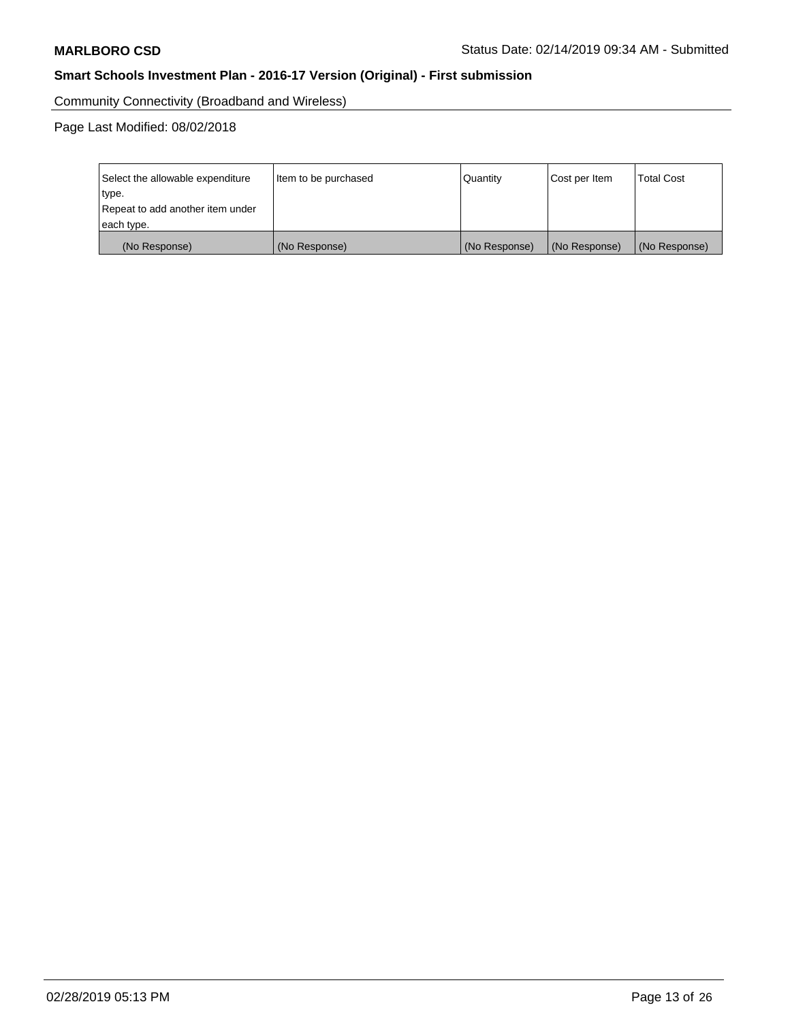Community Connectivity (Broadband and Wireless)

Page Last Modified: 08/02/2018

| Select the allowable expenditure<br>type.<br>Repeat to add another item under | Item to be purchased | Quantity      | Cost per Item | <b>Total Cost</b> |
|-------------------------------------------------------------------------------|----------------------|---------------|---------------|-------------------|
| each type.                                                                    |                      |               |               |                   |
| (No Response)                                                                 | (No Response)        | (No Response) | (No Response) | (No Response)     |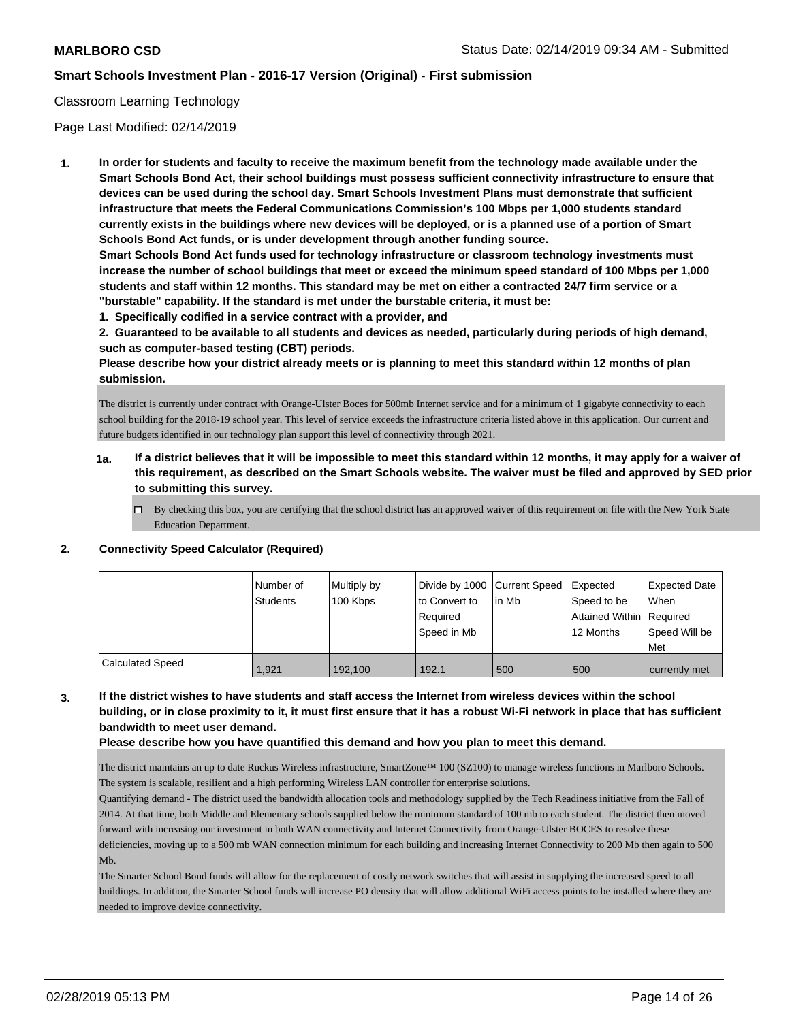#### Classroom Learning Technology

Page Last Modified: 02/14/2019

**1. In order for students and faculty to receive the maximum benefit from the technology made available under the Smart Schools Bond Act, their school buildings must possess sufficient connectivity infrastructure to ensure that devices can be used during the school day. Smart Schools Investment Plans must demonstrate that sufficient infrastructure that meets the Federal Communications Commission's 100 Mbps per 1,000 students standard currently exists in the buildings where new devices will be deployed, or is a planned use of a portion of Smart Schools Bond Act funds, or is under development through another funding source.**

**Smart Schools Bond Act funds used for technology infrastructure or classroom technology investments must increase the number of school buildings that meet or exceed the minimum speed standard of 100 Mbps per 1,000 students and staff within 12 months. This standard may be met on either a contracted 24/7 firm service or a "burstable" capability. If the standard is met under the burstable criteria, it must be:**

**1. Specifically codified in a service contract with a provider, and**

**2. Guaranteed to be available to all students and devices as needed, particularly during periods of high demand, such as computer-based testing (CBT) periods.**

**Please describe how your district already meets or is planning to meet this standard within 12 months of plan submission.**

The district is currently under contract with Orange-Ulster Boces for 500mb Internet service and for a minimum of 1 gigabyte connectivity to each school building for the 2018-19 school year. This level of service exceeds the infrastructure criteria listed above in this application. Our current and future budgets identified in our technology plan support this level of connectivity through 2021.

- **1a. If a district believes that it will be impossible to meet this standard within 12 months, it may apply for a waiver of this requirement, as described on the Smart Schools website. The waiver must be filed and approved by SED prior to submitting this survey.**
	- By checking this box, you are certifying that the school district has an approved waiver of this requirement on file with the New York State Education Department.

#### **2. Connectivity Speed Calculator (Required)**

|                         | Number of       | Multiply by | Divide by 1000 Current Speed |        | <b>Expected</b>          | Expected Date |
|-------------------------|-----------------|-------------|------------------------------|--------|--------------------------|---------------|
|                         | <b>Students</b> | 100 Kbps    | lto Convert to               | lin Mb | Speed to be              | When          |
|                         |                 |             | Reauired                     |        | Attained Within Required |               |
|                         |                 |             | Speed in Mb                  |        | 12 Months                | Speed Will be |
|                         |                 |             |                              |        |                          | Met           |
| <b>Calculated Speed</b> | 1.921           | 192,100     | 192.1                        | 500    | 500                      | currently met |

## **3. If the district wishes to have students and staff access the Internet from wireless devices within the school building, or in close proximity to it, it must first ensure that it has a robust Wi-Fi network in place that has sufficient bandwidth to meet user demand.**

#### **Please describe how you have quantified this demand and how you plan to meet this demand.**

The district maintains an up to date Ruckus Wireless infrastructure, SmartZone™ 100 (SZ100) to manage wireless functions in Marlboro Schools. The system is scalable, resilient and a high performing Wireless LAN controller for enterprise solutions.

Quantifying demand - The district used the bandwidth allocation tools and methodology supplied by the Tech Readiness initiative from the Fall of 2014. At that time, both Middle and Elementary schools supplied below the minimum standard of 100 mb to each student. The district then moved forward with increasing our investment in both WAN connectivity and Internet Connectivity from Orange-Ulster BOCES to resolve these deficiencies, moving up to a 500 mb WAN connection minimum for each building and increasing Internet Connectivity to 200 Mb then again to 500 Mb.

The Smarter School Bond funds will allow for the replacement of costly network switches that will assist in supplying the increased speed to all buildings. In addition, the Smarter School funds will increase PO density that will allow additional WiFi access points to be installed where they are needed to improve device connectivity.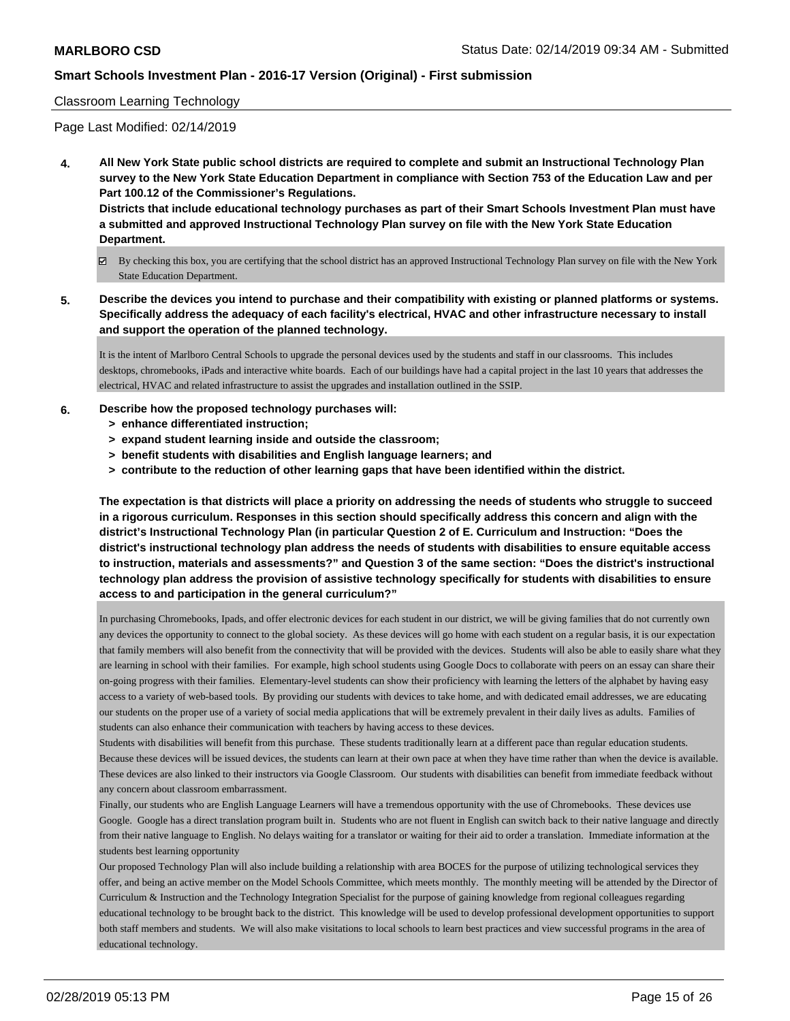#### Classroom Learning Technology

Page Last Modified: 02/14/2019

**4. All New York State public school districts are required to complete and submit an Instructional Technology Plan survey to the New York State Education Department in compliance with Section 753 of the Education Law and per Part 100.12 of the Commissioner's Regulations. Districts that include educational technology purchases as part of their Smart Schools Investment Plan must have**

**a submitted and approved Instructional Technology Plan survey on file with the New York State Education Department.**

- By checking this box, you are certifying that the school district has an approved Instructional Technology Plan survey on file with the New York State Education Department.
- **5. Describe the devices you intend to purchase and their compatibility with existing or planned platforms or systems. Specifically address the adequacy of each facility's electrical, HVAC and other infrastructure necessary to install and support the operation of the planned technology.**

It is the intent of Marlboro Central Schools to upgrade the personal devices used by the students and staff in our classrooms. This includes desktops, chromebooks, iPads and interactive white boards. Each of our buildings have had a capital project in the last 10 years that addresses the electrical, HVAC and related infrastructure to assist the upgrades and installation outlined in the SSIP.

- **6. Describe how the proposed technology purchases will:**
	- **> enhance differentiated instruction;**
	- **> expand student learning inside and outside the classroom;**
	- **> benefit students with disabilities and English language learners; and**
	- **> contribute to the reduction of other learning gaps that have been identified within the district.**

**The expectation is that districts will place a priority on addressing the needs of students who struggle to succeed in a rigorous curriculum. Responses in this section should specifically address this concern and align with the district's Instructional Technology Plan (in particular Question 2 of E. Curriculum and Instruction: "Does the district's instructional technology plan address the needs of students with disabilities to ensure equitable access to instruction, materials and assessments?" and Question 3 of the same section: "Does the district's instructional technology plan address the provision of assistive technology specifically for students with disabilities to ensure access to and participation in the general curriculum?"**

In purchasing Chromebooks, Ipads, and offer electronic devices for each student in our district, we will be giving families that do not currently own any devices the opportunity to connect to the global society. As these devices will go home with each student on a regular basis, it is our expectation that family members will also benefit from the connectivity that will be provided with the devices. Students will also be able to easily share what they are learning in school with their families. For example, high school students using Google Docs to collaborate with peers on an essay can share their on-going progress with their families. Elementary-level students can show their proficiency with learning the letters of the alphabet by having easy access to a variety of web-based tools. By providing our students with devices to take home, and with dedicated email addresses, we are educating our students on the proper use of a variety of social media applications that will be extremely prevalent in their daily lives as adults. Families of students can also enhance their communication with teachers by having access to these devices.

Students with disabilities will benefit from this purchase. These students traditionally learn at a different pace than regular education students. Because these devices will be issued devices, the students can learn at their own pace at when they have time rather than when the device is available. These devices are also linked to their instructors via Google Classroom. Our students with disabilities can benefit from immediate feedback without any concern about classroom embarrassment.

Finally, our students who are English Language Learners will have a tremendous opportunity with the use of Chromebooks. These devices use Google. Google has a direct translation program built in. Students who are not fluent in English can switch back to their native language and directly from their native language to English. No delays waiting for a translator or waiting for their aid to order a translation. Immediate information at the students best learning opportunity

Our proposed Technology Plan will also include building a relationship with area BOCES for the purpose of utilizing technological services they offer, and being an active member on the Model Schools Committee, which meets monthly. The monthly meeting will be attended by the Director of Curriculum & Instruction and the Technology Integration Specialist for the purpose of gaining knowledge from regional colleagues regarding educational technology to be brought back to the district. This knowledge will be used to develop professional development opportunities to support both staff members and students. We will also make visitations to local schools to learn best practices and view successful programs in the area of educational technology.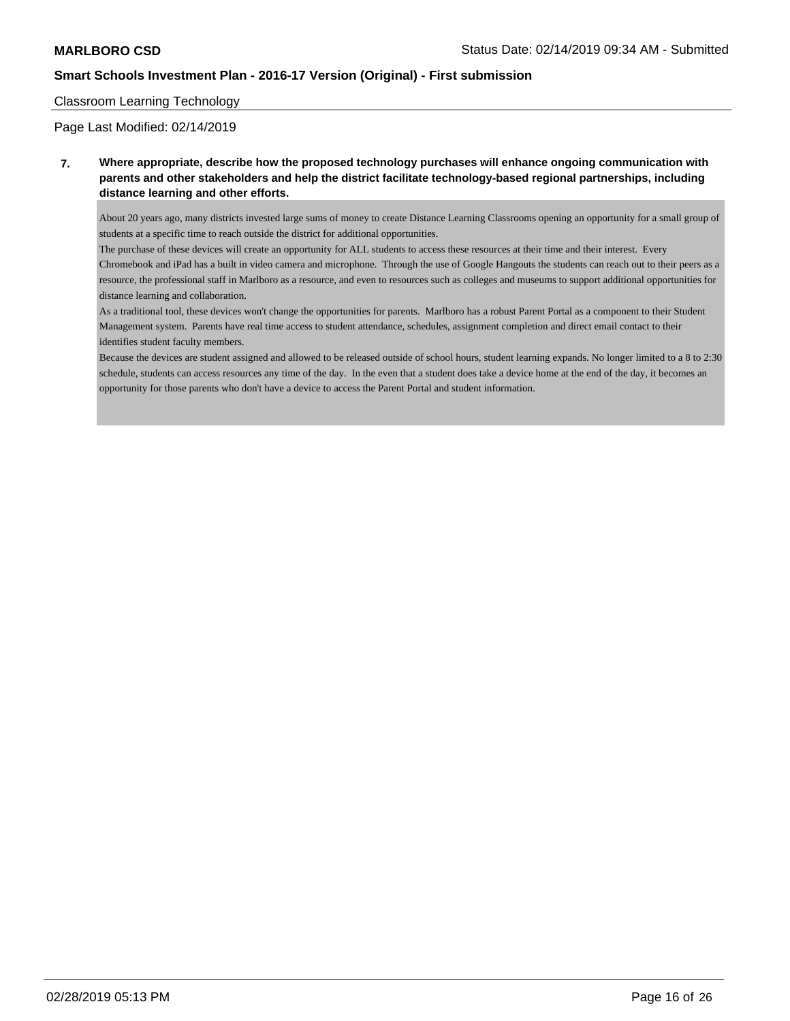#### Classroom Learning Technology

Page Last Modified: 02/14/2019

**7. Where appropriate, describe how the proposed technology purchases will enhance ongoing communication with parents and other stakeholders and help the district facilitate technology-based regional partnerships, including distance learning and other efforts.**

About 20 years ago, many districts invested large sums of money to create Distance Learning Classrooms opening an opportunity for a small group of students at a specific time to reach outside the district for additional opportunities.

The purchase of these devices will create an opportunity for ALL students to access these resources at their time and their interest. Every Chromebook and iPad has a built in video camera and microphone. Through the use of Google Hangouts the students can reach out to their peers as a resource, the professional staff in Marlboro as a resource, and even to resources such as colleges and museums to support additional opportunities for distance learning and collaboration.

As a traditional tool, these devices won't change the opportunities for parents. Marlboro has a robust Parent Portal as a component to their Student Management system. Parents have real time access to student attendance, schedules, assignment completion and direct email contact to their identifies student faculty members.

Because the devices are student assigned and allowed to be released outside of school hours, student learning expands. No longer limited to a 8 to 2:30 schedule, students can access resources any time of the day. In the even that a student does take a device home at the end of the day, it becomes an opportunity for those parents who don't have a device to access the Parent Portal and student information.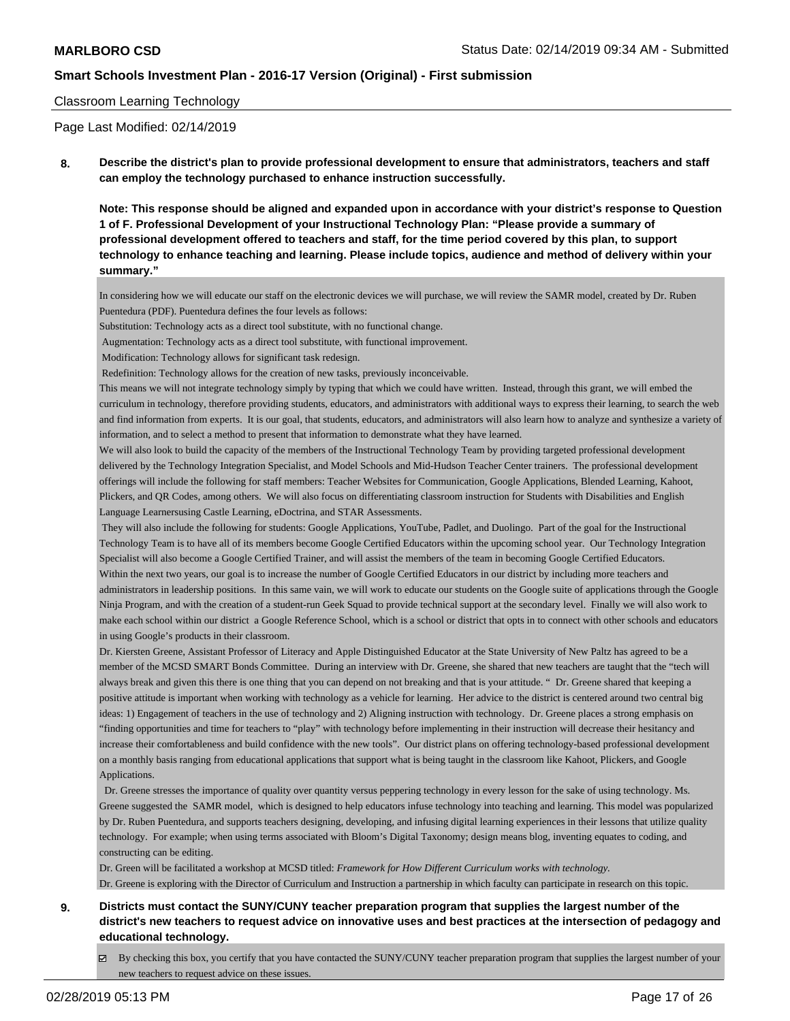#### Classroom Learning Technology

Page Last Modified: 02/14/2019

**8. Describe the district's plan to provide professional development to ensure that administrators, teachers and staff can employ the technology purchased to enhance instruction successfully.**

**Note: This response should be aligned and expanded upon in accordance with your district's response to Question 1 of F. Professional Development of your Instructional Technology Plan: "Please provide a summary of professional development offered to teachers and staff, for the time period covered by this plan, to support technology to enhance teaching and learning. Please include topics, audience and method of delivery within your summary."**

In considering how we will educate our staff on the electronic devices we will purchase, we will review the SAMR model, created by Dr. Ruben Puentedura (PDF). Puentedura defines the four levels as follows:

Substitution: Technology acts as a direct tool substitute, with no functional change.

Augmentation: Technology acts as a direct tool substitute, with functional improvement.

Modification: Technology allows for significant task redesign.

Redefinition: Technology allows for the creation of new tasks, previously inconceivable.

This means we will not integrate technology simply by typing that which we could have written. Instead, through this grant, we will embed the curriculum in technology, therefore providing students, educators, and administrators with additional ways to express their learning, to search the web and find information from experts. It is our goal, that students, educators, and administrators will also learn how to analyze and synthesize a variety of information, and to select a method to present that information to demonstrate what they have learned.

We will also look to build the capacity of the members of the Instructional Technology Team by providing targeted professional development delivered by the Technology Integration Specialist, and Model Schools and Mid-Hudson Teacher Center trainers. The professional development offerings will include the following for staff members: Teacher Websites for Communication, Google Applications, Blended Learning, Kahoot, Plickers, and QR Codes, among others. We will also focus on differentiating classroom instruction for Students with Disabilities and English Language Learnersusing Castle Learning, eDoctrina, and STAR Assessments.

 They will also include the following for students: Google Applications, YouTube, Padlet, and Duolingo. Part of the goal for the Instructional Technology Team is to have all of its members become Google Certified Educators within the upcoming school year. Our Technology Integration Specialist will also become a Google Certified Trainer, and will assist the members of the team in becoming Google Certified Educators. Within the next two years, our goal is to increase the number of Google Certified Educators in our district by including more teachers and administrators in leadership positions. In this same vain, we will work to educate our students on the Google suite of applications through the Google Ninja Program, and with the creation of a student-run Geek Squad to provide technical support at the secondary level. Finally we will also work to make each school within our district a Google Reference School, which is a school or district that opts in to connect with other schools and educators in using Google's products in their classroom.

Dr. Kiersten Greene, Assistant Professor of Literacy and Apple Distinguished Educator at the State University of New Paltz has agreed to be a member of the MCSD SMART Bonds Committee. During an interview with Dr. Greene, she shared that new teachers are taught that the "tech will always break and given this there is one thing that you can depend on not breaking and that is your attitude. " Dr. Greene shared that keeping a positive attitude is important when working with technology as a vehicle for learning. Her advice to the district is centered around two central big ideas: 1) Engagement of teachers in the use of technology and 2) Aligning instruction with technology. Dr. Greene places a strong emphasis on "finding opportunities and time for teachers to "play" with technology before implementing in their instruction will decrease their hesitancy and increase their comfortableness and build confidence with the new tools". Our district plans on offering technology-based professional development on a monthly basis ranging from educational applications that support what is being taught in the classroom like Kahoot, Plickers, and Google Applications.

 Dr. Greene stresses the importance of quality over quantity versus peppering technology in every lesson for the sake of using technology. Ms. Greene suggested the SAMR model, which is designed to help educators infuse technology into teaching and learning. This model was popularized by Dr. Ruben Puentedura, and supports teachers designing, developing, and infusing digital learning experiences in their lessons that utilize quality technology. For example; when using terms associated with Bloom's Digital Taxonomy; design means blog, inventing equates to coding, and constructing can be editing.

Dr. Green will be facilitated a workshop at MCSD titled: *Framework for How Different Curriculum works with technology.* Dr. Greene is exploring with the Director of Curriculum and Instruction a partnership in which faculty can participate in research on this topic.

**9. Districts must contact the SUNY/CUNY teacher preparation program that supplies the largest number of the district's new teachers to request advice on innovative uses and best practices at the intersection of pedagogy and educational technology.**

By checking this box, you certify that you have contacted the SUNY/CUNY teacher preparation program that supplies the largest number of your new teachers to request advice on these issues.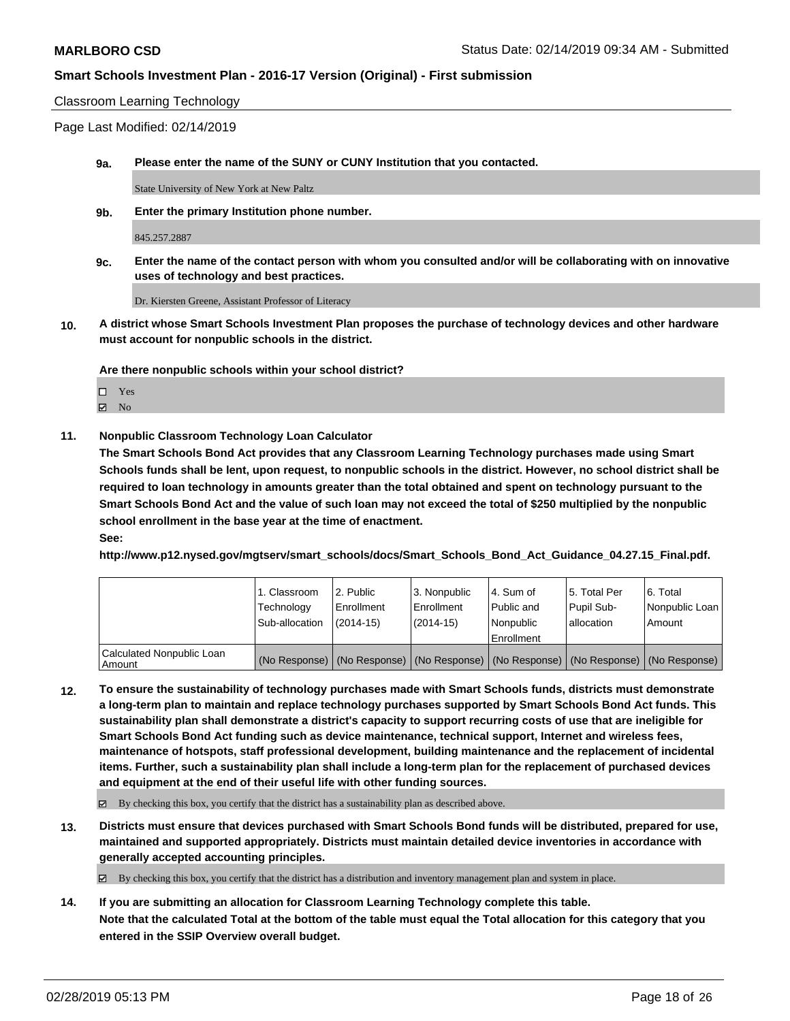#### Classroom Learning Technology

Page Last Modified: 02/14/2019

**9a. Please enter the name of the SUNY or CUNY Institution that you contacted.**

State University of New York at New Paltz

**9b. Enter the primary Institution phone number.**

845.257.2887

**9c. Enter the name of the contact person with whom you consulted and/or will be collaborating with on innovative uses of technology and best practices.**

Dr. Kiersten Greene, Assistant Professor of Literacy

**10. A district whose Smart Schools Investment Plan proposes the purchase of technology devices and other hardware must account for nonpublic schools in the district.**

**Are there nonpublic schools within your school district?**

Yes **Z** No

**11. Nonpublic Classroom Technology Loan Calculator**

**The Smart Schools Bond Act provides that any Classroom Learning Technology purchases made using Smart Schools funds shall be lent, upon request, to nonpublic schools in the district. However, no school district shall be required to loan technology in amounts greater than the total obtained and spent on technology pursuant to the Smart Schools Bond Act and the value of such loan may not exceed the total of \$250 multiplied by the nonpublic school enrollment in the base year at the time of enactment.**

**See:**

**http://www.p12.nysed.gov/mgtserv/smart\_schools/docs/Smart\_Schools\_Bond\_Act\_Guidance\_04.27.15\_Final.pdf.**

|                                     | 1. Classroom<br>Technology<br>Sub-allocation | l 2. Public<br>l Enrollment<br>(2014-15) | 3. Nonpublic<br>Enrollment<br>(2014-15) | l 4. Sum of<br>Public and<br>l Nonpublic<br>Enrollment | 15. Total Per<br>Pupil Sub-<br>lallocation | l 6. Total<br>Nonpublic Loan  <br>Amount                                                      |
|-------------------------------------|----------------------------------------------|------------------------------------------|-----------------------------------------|--------------------------------------------------------|--------------------------------------------|-----------------------------------------------------------------------------------------------|
| Calculated Nonpublic Loan<br>Amount |                                              |                                          |                                         |                                                        |                                            | (No Response)   (No Response)   (No Response)   (No Response)   (No Response)   (No Response) |

**12. To ensure the sustainability of technology purchases made with Smart Schools funds, districts must demonstrate a long-term plan to maintain and replace technology purchases supported by Smart Schools Bond Act funds. This sustainability plan shall demonstrate a district's capacity to support recurring costs of use that are ineligible for Smart Schools Bond Act funding such as device maintenance, technical support, Internet and wireless fees, maintenance of hotspots, staff professional development, building maintenance and the replacement of incidental items. Further, such a sustainability plan shall include a long-term plan for the replacement of purchased devices and equipment at the end of their useful life with other funding sources.**

 $\boxtimes$  By checking this box, you certify that the district has a sustainability plan as described above.

**13. Districts must ensure that devices purchased with Smart Schools Bond funds will be distributed, prepared for use, maintained and supported appropriately. Districts must maintain detailed device inventories in accordance with generally accepted accounting principles.**

By checking this box, you certify that the district has a distribution and inventory management plan and system in place.

**14. If you are submitting an allocation for Classroom Learning Technology complete this table. Note that the calculated Total at the bottom of the table must equal the Total allocation for this category that you entered in the SSIP Overview overall budget.**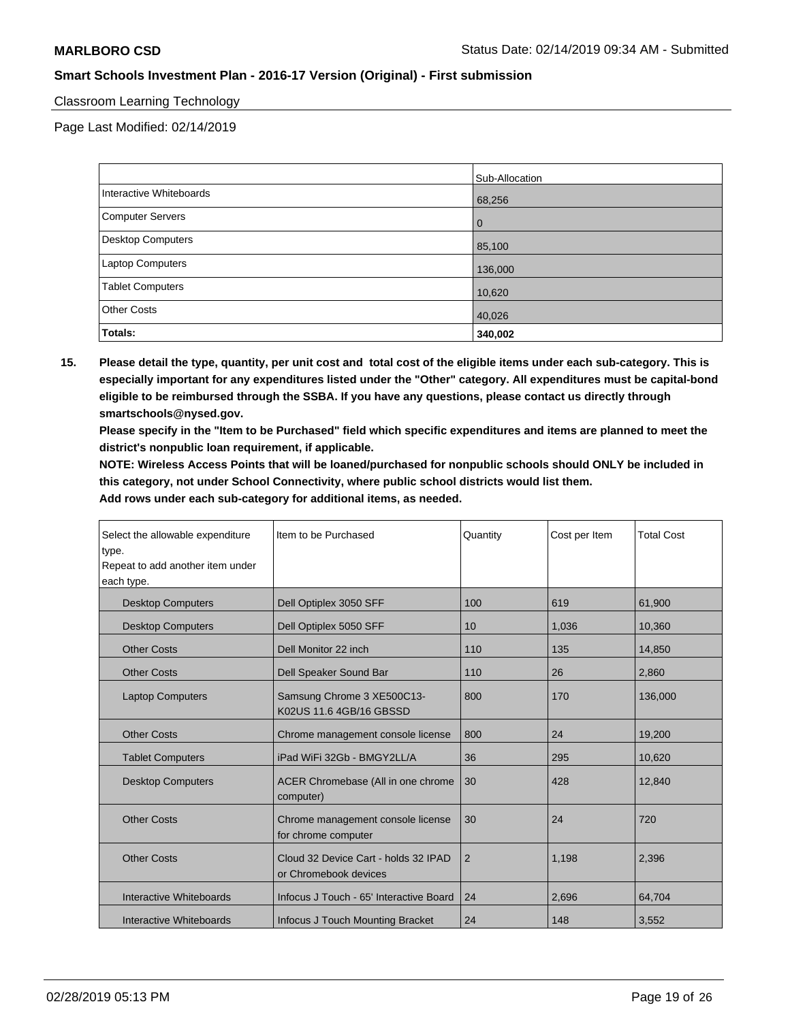#### Classroom Learning Technology

Page Last Modified: 02/14/2019

|                          | Sub-Allocation |
|--------------------------|----------------|
| Interactive Whiteboards  | 68,256         |
| Computer Servers         | 0              |
| <b>Desktop Computers</b> | 85,100         |
| Laptop Computers         | 136,000        |
| Tablet Computers         | 10,620         |
| <b>Other Costs</b>       | 40,026         |
| <b>Totals:</b>           | 340,002        |

**15. Please detail the type, quantity, per unit cost and total cost of the eligible items under each sub-category. This is especially important for any expenditures listed under the "Other" category. All expenditures must be capital-bond eligible to be reimbursed through the SSBA. If you have any questions, please contact us directly through smartschools@nysed.gov.**

**Please specify in the "Item to be Purchased" field which specific expenditures and items are planned to meet the district's nonpublic loan requirement, if applicable.**

**NOTE: Wireless Access Points that will be loaned/purchased for nonpublic schools should ONLY be included in this category, not under School Connectivity, where public school districts would list them.**

**Add rows under each sub-category for additional items, as needed.**

| Select the allowable expenditure<br>type.<br>Repeat to add another item under<br>each type. | Item to be Purchased                                          | Quantity       | Cost per Item | <b>Total Cost</b> |
|---------------------------------------------------------------------------------------------|---------------------------------------------------------------|----------------|---------------|-------------------|
| <b>Desktop Computers</b>                                                                    | Dell Optiplex 3050 SFF                                        | 100            | 619           | 61,900            |
| <b>Desktop Computers</b>                                                                    | Dell Optiplex 5050 SFF                                        | 10             | 1,036         | 10,360            |
| <b>Other Costs</b>                                                                          | Dell Monitor 22 inch                                          | 110            | 135           | 14,850            |
| <b>Other Costs</b>                                                                          | Dell Speaker Sound Bar                                        | 110            | 26            | 2,860             |
| <b>Laptop Computers</b>                                                                     | Samsung Chrome 3 XE500C13-<br>K02US 11.6 4GB/16 GBSSD         | 800            | 170           | 136,000           |
| <b>Other Costs</b>                                                                          | Chrome management console license                             | 800            | 24            | 19,200            |
| <b>Tablet Computers</b>                                                                     | iPad WiFi 32Gb - BMGY2LL/A                                    | 36             | 295           | 10,620            |
| <b>Desktop Computers</b>                                                                    | ACER Chromebase (All in one chrome<br>computer)               | 30             | 428           | 12,840            |
| <b>Other Costs</b>                                                                          | Chrome management console license<br>for chrome computer      | 30             | 24            | 720               |
| <b>Other Costs</b>                                                                          | Cloud 32 Device Cart - holds 32 IPAD<br>or Chromebook devices | $\overline{2}$ | 1,198         | 2,396             |
| Interactive Whiteboards                                                                     | Infocus J Touch - 65' Interactive Board                       | 24             | 2,696         | 64,704            |
| Interactive Whiteboards                                                                     | <b>Infocus J Touch Mounting Bracket</b>                       | 24             | 148           | 3,552             |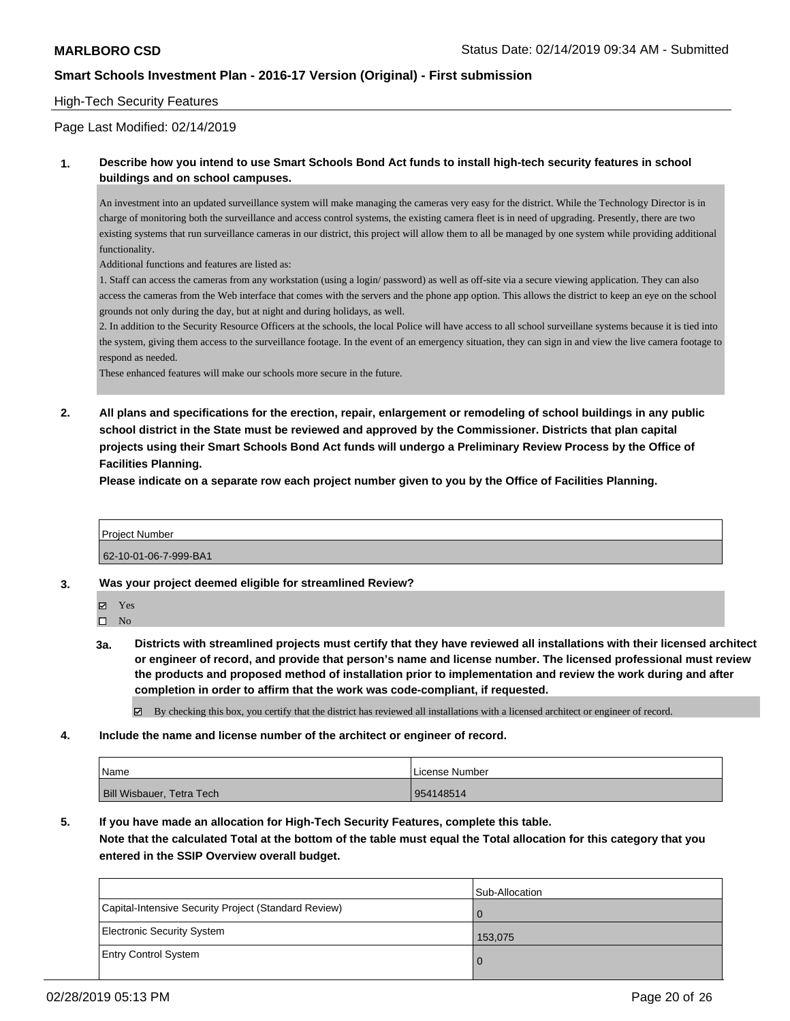#### High-Tech Security Features

#### Page Last Modified: 02/14/2019

#### **1. Describe how you intend to use Smart Schools Bond Act funds to install high-tech security features in school buildings and on school campuses.**

An investment into an updated surveillance system will make managing the cameras very easy for the district. While the Technology Director is in charge of monitoring both the surveillance and access control systems, the existing camera fleet is in need of upgrading. Presently, there are two existing systems that run surveillance cameras in our district, this project will allow them to all be managed by one system while providing additional functionality.

Additional functions and features are listed as:

1. Staff can access the cameras from any workstation (using a login/ password) as well as off-site via a secure viewing application. They can also access the cameras from the Web interface that comes with the servers and the phone app option. This allows the district to keep an eye on the school grounds not only during the day, but at night and during holidays, as well.

2. In addition to the Security Resource Officers at the schools, the local Police will have access to all school surveillane systems because it is tied into the system, giving them access to the surveillance footage. In the event of an emergency situation, they can sign in and view the live camera footage to respond as needed.

These enhanced features will make our schools more secure in the future.

**2. All plans and specifications for the erection, repair, enlargement or remodeling of school buildings in any public school district in the State must be reviewed and approved by the Commissioner. Districts that plan capital projects using their Smart Schools Bond Act funds will undergo a Preliminary Review Process by the Office of Facilities Planning.** 

**Please indicate on a separate row each project number given to you by the Office of Facilities Planning.**

| <b>Project Number</b> |  |
|-----------------------|--|
| 62-10-01-06-7-999-BA1 |  |

**3. Was your project deemed eligible for streamlined Review?**

Yes

 $\square$  No

**3a. Districts with streamlined projects must certify that they have reviewed all installations with their licensed architect or engineer of record, and provide that person's name and license number. The licensed professional must review the products and proposed method of installation prior to implementation and review the work during and after completion in order to affirm that the work was code-compliant, if requested.**

 $\boxtimes$  By checking this box, you certify that the district has reviewed all installations with a licensed architect or engineer of record.

**4. Include the name and license number of the architect or engineer of record.**

| <b>Name</b>                      | License Number |
|----------------------------------|----------------|
| <b>Bill Wisbauer, Tetra Tech</b> | 954148514      |

**5. If you have made an allocation for High-Tech Security Features, complete this table.**

**Note that the calculated Total at the bottom of the table must equal the Total allocation for this category that you entered in the SSIP Overview overall budget.**

|                                                      | Sub-Allocation |
|------------------------------------------------------|----------------|
| Capital-Intensive Security Project (Standard Review) | 0              |
| Electronic Security System                           | 153,075        |
| <b>Entry Control System</b>                          | O              |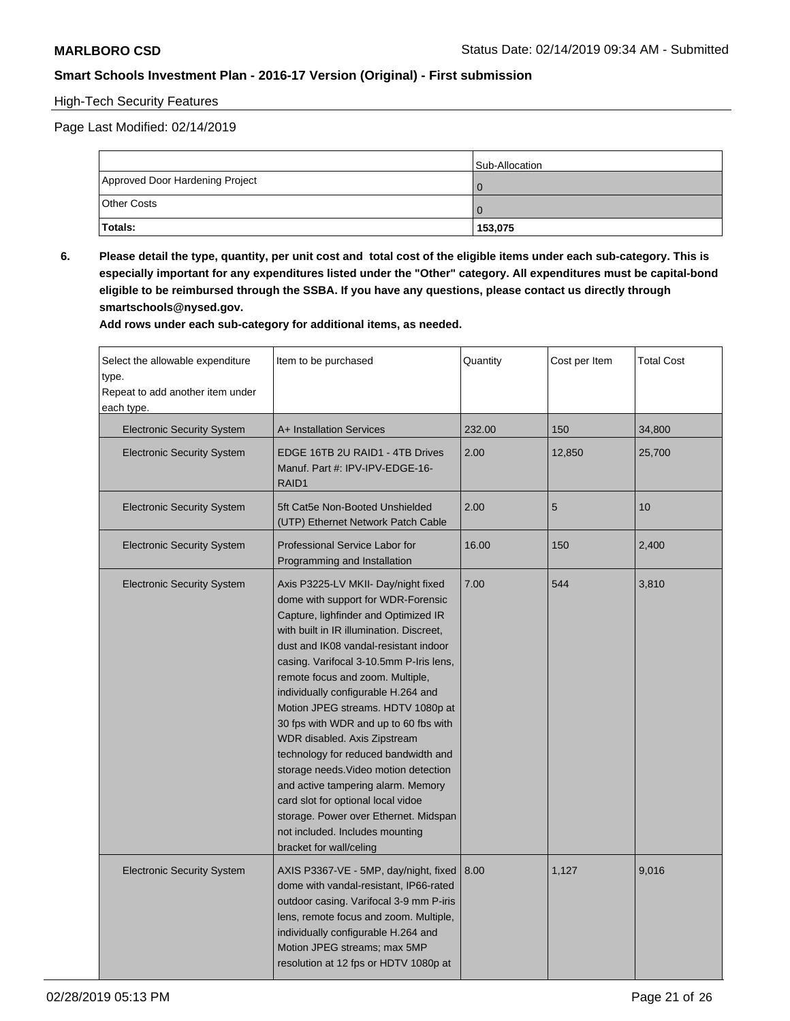## High-Tech Security Features

Page Last Modified: 02/14/2019

|                                 | Sub-Allocation |
|---------------------------------|----------------|
| Approved Door Hardening Project |                |
| <b>Other Costs</b>              |                |
| Totals:                         | 153,075        |

**6. Please detail the type, quantity, per unit cost and total cost of the eligible items under each sub-category. This is especially important for any expenditures listed under the "Other" category. All expenditures must be capital-bond eligible to be reimbursed through the SSBA. If you have any questions, please contact us directly through smartschools@nysed.gov.**

**Add rows under each sub-category for additional items, as needed.**

| Select the allowable expenditure<br>type.<br>Repeat to add another item under<br>each type. | Item to be purchased                                                                                                                                                                                                                                                                                                                                                                                                                                                                                                                                                                                                                                                                                            | Quantity | Cost per Item | <b>Total Cost</b> |
|---------------------------------------------------------------------------------------------|-----------------------------------------------------------------------------------------------------------------------------------------------------------------------------------------------------------------------------------------------------------------------------------------------------------------------------------------------------------------------------------------------------------------------------------------------------------------------------------------------------------------------------------------------------------------------------------------------------------------------------------------------------------------------------------------------------------------|----------|---------------|-------------------|
| <b>Electronic Security System</b>                                                           | A+ Installation Services                                                                                                                                                                                                                                                                                                                                                                                                                                                                                                                                                                                                                                                                                        | 232.00   | 150           | 34,800            |
| <b>Electronic Security System</b>                                                           | EDGE 16TB 2U RAID1 - 4TB Drives<br>Manuf. Part #: IPV-IPV-EDGE-16-<br>RAID1                                                                                                                                                                                                                                                                                                                                                                                                                                                                                                                                                                                                                                     | 2.00     | 12,850        | 25,700            |
| <b>Electronic Security System</b>                                                           | 5ft Cat5e Non-Booted Unshielded<br>(UTP) Ethernet Network Patch Cable                                                                                                                                                                                                                                                                                                                                                                                                                                                                                                                                                                                                                                           | 2.00     | 5             | 10                |
| <b>Electronic Security System</b>                                                           | Professional Service Labor for<br>Programming and Installation                                                                                                                                                                                                                                                                                                                                                                                                                                                                                                                                                                                                                                                  | 16.00    | 150           | 2,400             |
| <b>Electronic Security System</b>                                                           | Axis P3225-LV MKII- Day/night fixed<br>dome with support for WDR-Forensic<br>Capture, lighfinder and Optimized IR<br>with built in IR illumination. Discreet,<br>dust and IK08 vandal-resistant indoor<br>casing. Varifocal 3-10.5mm P-Iris lens,<br>remote focus and zoom. Multiple,<br>individually configurable H.264 and<br>Motion JPEG streams. HDTV 1080p at<br>30 fps with WDR and up to 60 fbs with<br>WDR disabled. Axis Zipstream<br>technology for reduced bandwidth and<br>storage needs. Video motion detection<br>and active tampering alarm. Memory<br>card slot for optional local vidoe<br>storage. Power over Ethernet. Midspan<br>not included. Includes mounting<br>bracket for wall/celing | 7.00     | 544           | 3,810             |
| <b>Electronic Security System</b>                                                           | AXIS P3367-VE - 5MP, day/night, fixed<br>dome with vandal-resistant, IP66-rated<br>outdoor casing. Varifocal 3-9 mm P-iris<br>lens, remote focus and zoom. Multiple,<br>individually configurable H.264 and<br>Motion JPEG streams; max 5MP<br>resolution at 12 fps or HDTV 1080p at                                                                                                                                                                                                                                                                                                                                                                                                                            | 8.00     | 1,127         | 9,016             |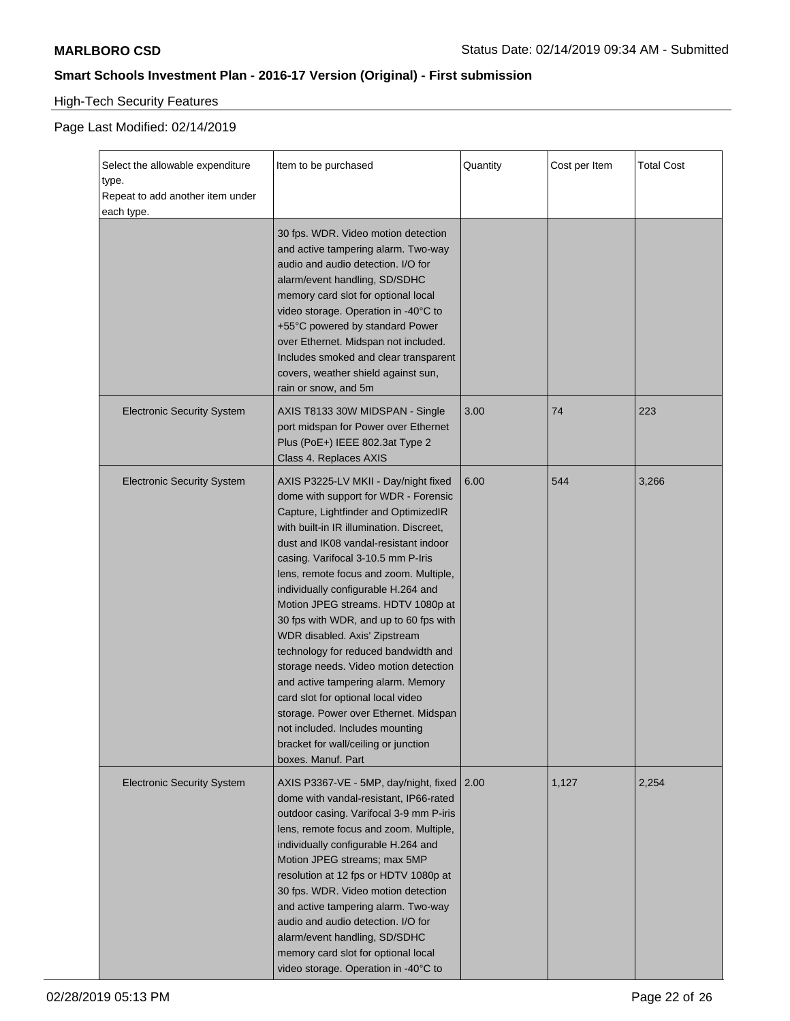# High-Tech Security Features

| Select the allowable expenditure<br>type.      | Item to be purchased                                                                                                                                                                                                                                                                                                                                                                                                                                                                                                                                                                                                                                                                                                                                     | Quantity | Cost per Item | <b>Total Cost</b> |
|------------------------------------------------|----------------------------------------------------------------------------------------------------------------------------------------------------------------------------------------------------------------------------------------------------------------------------------------------------------------------------------------------------------------------------------------------------------------------------------------------------------------------------------------------------------------------------------------------------------------------------------------------------------------------------------------------------------------------------------------------------------------------------------------------------------|----------|---------------|-------------------|
| Repeat to add another item under<br>each type. |                                                                                                                                                                                                                                                                                                                                                                                                                                                                                                                                                                                                                                                                                                                                                          |          |               |                   |
|                                                | 30 fps. WDR. Video motion detection<br>and active tampering alarm. Two-way<br>audio and audio detection. I/O for<br>alarm/event handling, SD/SDHC<br>memory card slot for optional local<br>video storage. Operation in -40°C to<br>+55°C powered by standard Power<br>over Ethernet. Midspan not included.<br>Includes smoked and clear transparent<br>covers, weather shield against sun,<br>rain or snow, and 5m                                                                                                                                                                                                                                                                                                                                      |          |               |                   |
| <b>Electronic Security System</b>              | AXIS T8133 30W MIDSPAN - Single<br>port midspan for Power over Ethernet<br>Plus (PoE+) IEEE 802.3at Type 2<br>Class 4. Replaces AXIS                                                                                                                                                                                                                                                                                                                                                                                                                                                                                                                                                                                                                     | 3.00     | 74            | 223               |
| <b>Electronic Security System</b>              | AXIS P3225-LV MKII - Day/night fixed<br>dome with support for WDR - Forensic<br>Capture, Lightfinder and OptimizedIR<br>with built-in IR illumination. Discreet,<br>dust and IK08 vandal-resistant indoor<br>casing. Varifocal 3-10.5 mm P-Iris<br>lens, remote focus and zoom. Multiple,<br>individually configurable H.264 and<br>Motion JPEG streams. HDTV 1080p at<br>30 fps with WDR, and up to 60 fps with<br>WDR disabled. Axis' Zipstream<br>technology for reduced bandwidth and<br>storage needs. Video motion detection<br>and active tampering alarm. Memory<br>card slot for optional local video<br>storage. Power over Ethernet. Midspan<br>not included. Includes mounting<br>bracket for wall/ceiling or junction<br>boxes. Manuf. Part | 6.00     | 544           | 3,266             |
| <b>Electronic Security System</b>              | AXIS P3367-VE - 5MP, day/night, fixed<br>dome with vandal-resistant, IP66-rated<br>outdoor casing. Varifocal 3-9 mm P-iris<br>lens, remote focus and zoom. Multiple,<br>individually configurable H.264 and<br>Motion JPEG streams; max 5MP<br>resolution at 12 fps or HDTV 1080p at<br>30 fps. WDR. Video motion detection<br>and active tampering alarm. Two-way<br>audio and audio detection. I/O for<br>alarm/event handling, SD/SDHC<br>memory card slot for optional local<br>video storage. Operation in -40°C to                                                                                                                                                                                                                                 | 2.00     | 1,127         | 2,254             |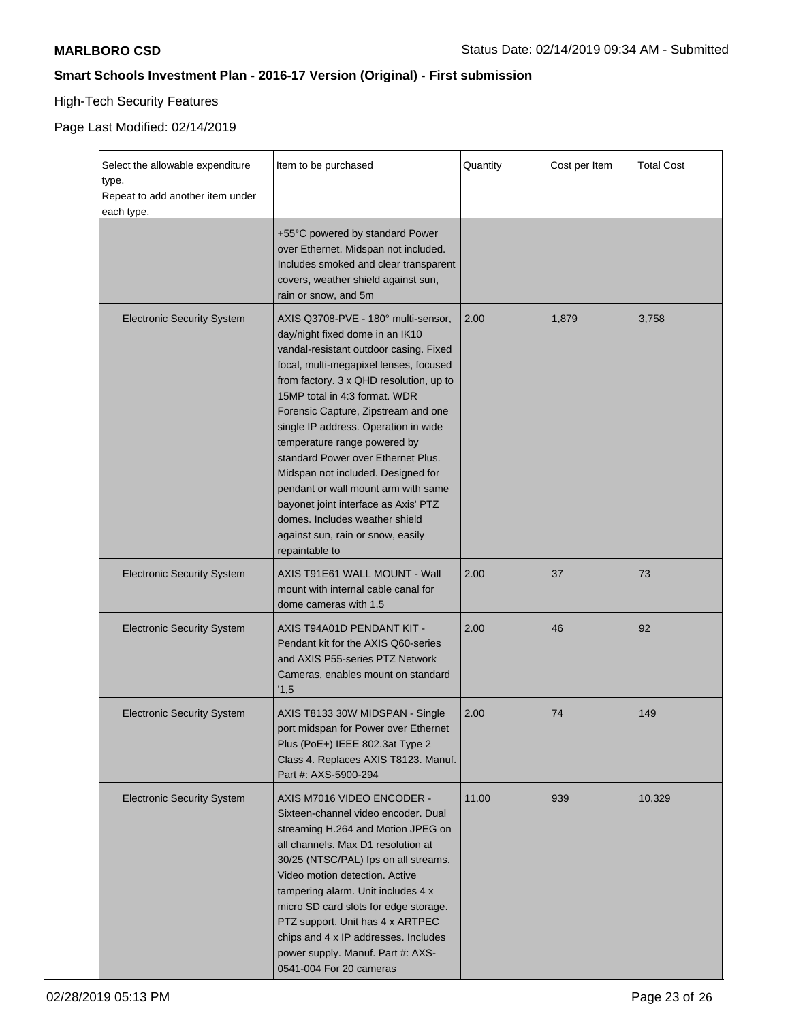# High-Tech Security Features

| Select the allowable expenditure<br>type.<br>Repeat to add another item under<br>each type. | Item to be purchased                                                                                                                                                                                                                                                                                                                                                                                                                                                                                                                                                                                      | Quantity | Cost per Item | <b>Total Cost</b> |
|---------------------------------------------------------------------------------------------|-----------------------------------------------------------------------------------------------------------------------------------------------------------------------------------------------------------------------------------------------------------------------------------------------------------------------------------------------------------------------------------------------------------------------------------------------------------------------------------------------------------------------------------------------------------------------------------------------------------|----------|---------------|-------------------|
|                                                                                             | +55°C powered by standard Power<br>over Ethernet. Midspan not included.<br>Includes smoked and clear transparent<br>covers, weather shield against sun,<br>rain or snow, and 5m                                                                                                                                                                                                                                                                                                                                                                                                                           |          |               |                   |
| <b>Electronic Security System</b>                                                           | AXIS Q3708-PVE - 180° multi-sensor,<br>day/night fixed dome in an IK10<br>vandal-resistant outdoor casing. Fixed<br>focal, multi-megapixel lenses, focused<br>from factory. 3 x QHD resolution, up to<br>15MP total in 4:3 format. WDR<br>Forensic Capture, Zipstream and one<br>single IP address. Operation in wide<br>temperature range powered by<br>standard Power over Ethernet Plus.<br>Midspan not included. Designed for<br>pendant or wall mount arm with same<br>bayonet joint interface as Axis' PTZ<br>domes. Includes weather shield<br>against sun, rain or snow, easily<br>repaintable to | 2.00     | 1,879         | 3,758             |
| <b>Electronic Security System</b>                                                           | AXIS T91E61 WALL MOUNT - Wall<br>mount with internal cable canal for<br>dome cameras with 1.5                                                                                                                                                                                                                                                                                                                                                                                                                                                                                                             | 2.00     | 37            | 73                |
| <b>Electronic Security System</b>                                                           | AXIS T94A01D PENDANT KIT -<br>Pendant kit for the AXIS Q60-series<br>and AXIS P55-series PTZ Network<br>Cameras, enables mount on standard<br>'1,5                                                                                                                                                                                                                                                                                                                                                                                                                                                        | 2.00     | 46            | 92                |
| <b>Electronic Security System</b>                                                           | AXIS T8133 30W MIDSPAN - Single<br>port midspan for Power over Ethernet<br>Plus (PoE+) IEEE 802.3at Type 2<br>Class 4. Replaces AXIS T8123. Manuf.<br>Part #: AXS-5900-294                                                                                                                                                                                                                                                                                                                                                                                                                                | 2.00     | 74            | 149               |
| <b>Electronic Security System</b>                                                           | AXIS M7016 VIDEO ENCODER -<br>Sixteen-channel video encoder. Dual<br>streaming H.264 and Motion JPEG on<br>all channels. Max D1 resolution at<br>30/25 (NTSC/PAL) fps on all streams.<br>Video motion detection. Active<br>tampering alarm. Unit includes 4 x<br>micro SD card slots for edge storage.<br>PTZ support. Unit has 4 x ARTPEC<br>chips and 4 x IP addresses. Includes<br>power supply. Manuf. Part #: AXS-<br>0541-004 For 20 cameras                                                                                                                                                        | 11.00    | 939           | 10,329            |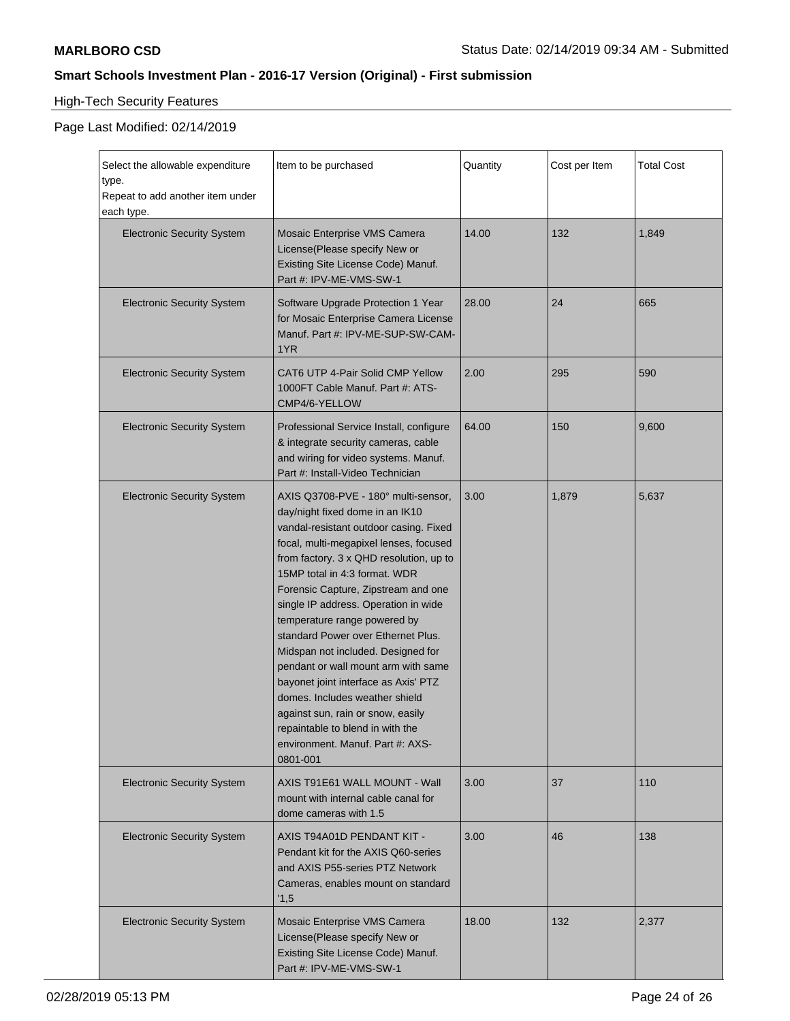# High-Tech Security Features

| Select the allowable expenditure<br>type.<br>Repeat to add another item under<br>each type. | Item to be purchased                                                                                                                                                                                                                                                                                                                                                                                                                                                                                                                                                                                                                                                        | Quantity | Cost per Item | <b>Total Cost</b> |
|---------------------------------------------------------------------------------------------|-----------------------------------------------------------------------------------------------------------------------------------------------------------------------------------------------------------------------------------------------------------------------------------------------------------------------------------------------------------------------------------------------------------------------------------------------------------------------------------------------------------------------------------------------------------------------------------------------------------------------------------------------------------------------------|----------|---------------|-------------------|
| <b>Electronic Security System</b>                                                           | Mosaic Enterprise VMS Camera<br>License(Please specify New or<br>Existing Site License Code) Manuf.<br>Part #: IPV-ME-VMS-SW-1                                                                                                                                                                                                                                                                                                                                                                                                                                                                                                                                              | 14.00    | 132           | 1,849             |
| <b>Electronic Security System</b>                                                           | Software Upgrade Protection 1 Year<br>for Mosaic Enterprise Camera License<br>Manuf. Part #: IPV-ME-SUP-SW-CAM-<br>1YR                                                                                                                                                                                                                                                                                                                                                                                                                                                                                                                                                      | 28.00    | 24            | 665               |
| <b>Electronic Security System</b>                                                           | CAT6 UTP 4-Pair Solid CMP Yellow<br>1000FT Cable Manuf. Part #: ATS-<br>CMP4/6-YELLOW                                                                                                                                                                                                                                                                                                                                                                                                                                                                                                                                                                                       | 2.00     | 295           | 590               |
| <b>Electronic Security System</b>                                                           | Professional Service Install, configure<br>& integrate security cameras, cable<br>and wiring for video systems. Manuf.<br>Part #: Install-Video Technician                                                                                                                                                                                                                                                                                                                                                                                                                                                                                                                  | 64.00    | 150           | 9,600             |
| <b>Electronic Security System</b>                                                           | AXIS Q3708-PVE - 180° multi-sensor,<br>day/night fixed dome in an IK10<br>vandal-resistant outdoor casing. Fixed<br>focal, multi-megapixel lenses, focused<br>from factory. 3 x QHD resolution, up to<br>15MP total in 4:3 format. WDR<br>Forensic Capture, Zipstream and one<br>single IP address. Operation in wide<br>temperature range powered by<br>standard Power over Ethernet Plus.<br>Midspan not included. Designed for<br>pendant or wall mount arm with same<br>bayonet joint interface as Axis' PTZ<br>domes. Includes weather shield<br>against sun, rain or snow, easily<br>repaintable to blend in with the<br>environment. Manuf. Part #: AXS-<br>0801-001 | 3.00     | 1,879         | 5,637             |
| <b>Electronic Security System</b>                                                           | AXIS T91E61 WALL MOUNT - Wall<br>mount with internal cable canal for<br>dome cameras with 1.5                                                                                                                                                                                                                                                                                                                                                                                                                                                                                                                                                                               | 3.00     | 37            | 110               |
| <b>Electronic Security System</b>                                                           | AXIS T94A01D PENDANT KIT -<br>Pendant kit for the AXIS Q60-series<br>and AXIS P55-series PTZ Network<br>Cameras, enables mount on standard<br>'1,5                                                                                                                                                                                                                                                                                                                                                                                                                                                                                                                          | 3.00     | 46            | 138               |
| <b>Electronic Security System</b>                                                           | Mosaic Enterprise VMS Camera<br>License(Please specify New or<br>Existing Site License Code) Manuf.<br>Part #: IPV-ME-VMS-SW-1                                                                                                                                                                                                                                                                                                                                                                                                                                                                                                                                              | 18.00    | 132           | 2,377             |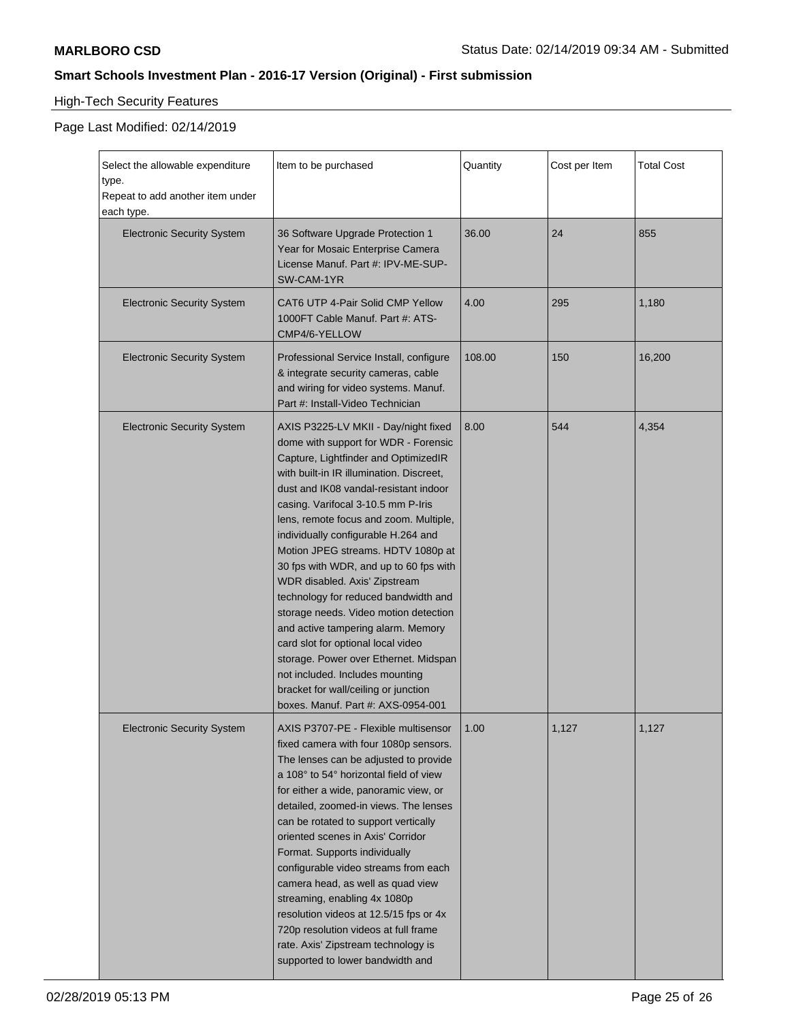# High-Tech Security Features

| Select the allowable expenditure<br>type.<br>Repeat to add another item under<br>each type. | Item to be purchased                                                                                                                                                                                                                                                                                                                                                                                                                                                                                                                                                                                                                                                                                                                                                     | Quantity | Cost per Item | <b>Total Cost</b> |
|---------------------------------------------------------------------------------------------|--------------------------------------------------------------------------------------------------------------------------------------------------------------------------------------------------------------------------------------------------------------------------------------------------------------------------------------------------------------------------------------------------------------------------------------------------------------------------------------------------------------------------------------------------------------------------------------------------------------------------------------------------------------------------------------------------------------------------------------------------------------------------|----------|---------------|-------------------|
| <b>Electronic Security System</b>                                                           | 36 Software Upgrade Protection 1<br>Year for Mosaic Enterprise Camera<br>License Manuf. Part #: IPV-ME-SUP-<br>SW-CAM-1YR                                                                                                                                                                                                                                                                                                                                                                                                                                                                                                                                                                                                                                                | 36.00    | 24            | 855               |
| <b>Electronic Security System</b>                                                           | CAT6 UTP 4-Pair Solid CMP Yellow<br>1000FT Cable Manuf. Part #: ATS-<br>CMP4/6-YELLOW                                                                                                                                                                                                                                                                                                                                                                                                                                                                                                                                                                                                                                                                                    | 4.00     | 295           | 1,180             |
| <b>Electronic Security System</b>                                                           | Professional Service Install, configure<br>& integrate security cameras, cable<br>and wiring for video systems. Manuf.<br>Part #: Install-Video Technician                                                                                                                                                                                                                                                                                                                                                                                                                                                                                                                                                                                                               | 108.00   | 150           | 16,200            |
| <b>Electronic Security System</b>                                                           | AXIS P3225-LV MKII - Day/night fixed<br>dome with support for WDR - Forensic<br>Capture, Lightfinder and OptimizedIR<br>with built-in IR illumination. Discreet,<br>dust and IK08 vandal-resistant indoor<br>casing. Varifocal 3-10.5 mm P-Iris<br>lens, remote focus and zoom. Multiple,<br>individually configurable H.264 and<br>Motion JPEG streams. HDTV 1080p at<br>30 fps with WDR, and up to 60 fps with<br>WDR disabled. Axis' Zipstream<br>technology for reduced bandwidth and<br>storage needs. Video motion detection<br>and active tampering alarm. Memory<br>card slot for optional local video<br>storage. Power over Ethernet. Midspan<br>not included. Includes mounting<br>bracket for wall/ceiling or junction<br>boxes. Manuf. Part #: AXS-0954-001 | 8.00     | 544           | 4,354             |
| <b>Electronic Security System</b>                                                           | AXIS P3707-PE - Flexible multisensor  <br>fixed camera with four 1080p sensors.<br>The lenses can be adjusted to provide<br>a 108° to 54° horizontal field of view<br>for either a wide, panoramic view, or<br>detailed, zoomed-in views. The lenses<br>can be rotated to support vertically<br>oriented scenes in Axis' Corridor<br>Format. Supports individually<br>configurable video streams from each<br>camera head, as well as quad view<br>streaming, enabling 4x 1080p<br>resolution videos at 12.5/15 fps or 4x<br>720p resolution videos at full frame<br>rate. Axis' Zipstream technology is<br>supported to lower bandwidth and                                                                                                                             | 1.00     | 1,127         | 1,127             |